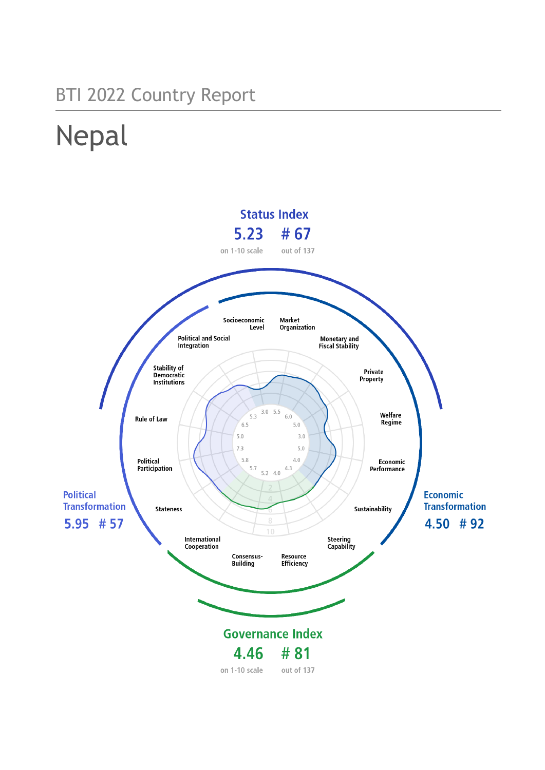## BTI 2022 Country Report

# Nepal

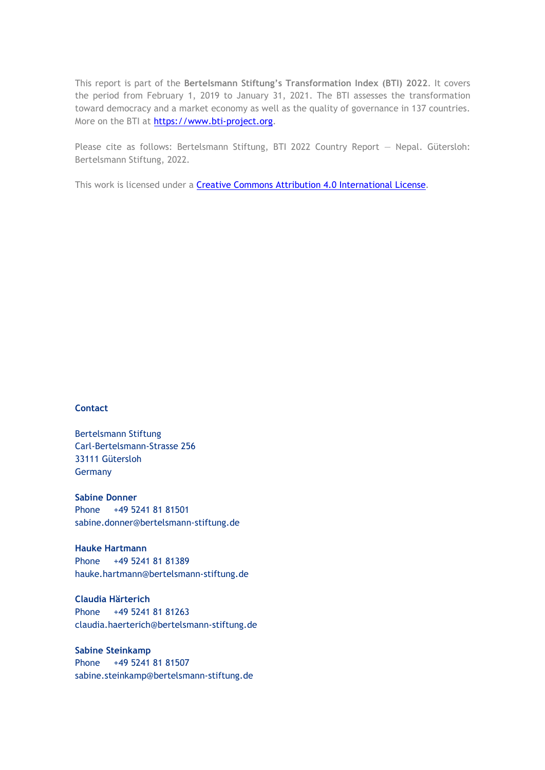This report is part of the **Bertelsmann Stiftung's Transformation Index (BTI) 2022**. It covers the period from February 1, 2019 to January 31, 2021. The BTI assesses the transformation toward democracy and a market economy as well as the quality of governance in 137 countries. More on the BTI at [https://www.bti-project.org.](https://www.bti-project.org/)

Please cite as follows: Bertelsmann Stiftung, BTI 2022 Country Report — Nepal. Gütersloh: Bertelsmann Stiftung, 2022.

This work is licensed under a **Creative Commons Attribution 4.0 International License**.

#### **Contact**

Bertelsmann Stiftung Carl-Bertelsmann-Strasse 256 33111 Gütersloh Germany

**Sabine Donner** Phone +49 5241 81 81501 sabine.donner@bertelsmann-stiftung.de

**Hauke Hartmann** Phone +49 5241 81 81389 hauke.hartmann@bertelsmann-stiftung.de

**Claudia Härterich** Phone +49 5241 81 81263 claudia.haerterich@bertelsmann-stiftung.de

#### **Sabine Steinkamp** Phone +49 5241 81 81507 sabine.steinkamp@bertelsmann-stiftung.de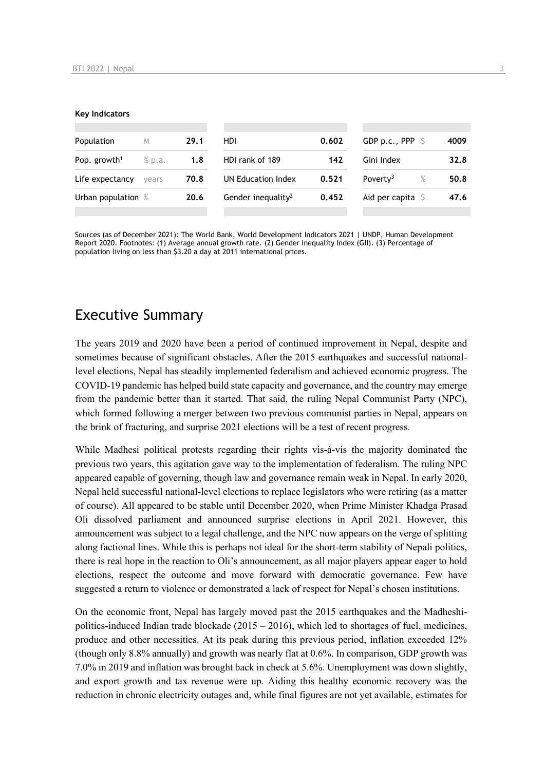#### **Key Indicators**

| Population                         | M     | 29.1 | HDI                            | 0.602 | GDP p.c., PPP $\ S$          | 4009 |
|------------------------------------|-------|------|--------------------------------|-------|------------------------------|------|
| Pop. growth <sup>1</sup><br>% p.a. |       | 1.8  | HDI rank of 189                | 142   | Gini Index                   | 32.8 |
| Life expectancy                    | vears | 70.8 | UN Education Index             | 0.521 | Poverty <sup>3</sup><br>$\%$ | 50.8 |
| Urban population %                 |       | 20.6 | Gender inequality <sup>2</sup> | 0.452 | Aid per capita $\mathsf S$   | 47.6 |
|                                    |       |      |                                |       |                              |      |

Sources (as of December 2021): The World Bank, World Development Indicators 2021 | UNDP, Human Development Report 2020. Footnotes: (1) Average annual growth rate. (2) Gender Inequality Index (GII). (3) Percentage of population living on less than \$3.20 a day at 2011 international prices.

## Executive Summary

The years 2019 and 2020 have been a period of continued improvement in Nepal, despite and sometimes because of significant obstacles. After the 2015 earthquakes and successful nationallevel elections, Nepal has steadily implemented federalism and achieved economic progress. The COVID-19 pandemic has helped build state capacity and governance, and the country may emerge from the pandemic better than it started. That said, the ruling Nepal Communist Party (NPC), which formed following a merger between two previous communist parties in Nepal, appears on the brink of fracturing, and surprise 2021 elections will be a test of recent progress.

While Madhesi political protests regarding their rights vis-à-vis the majority dominated the previous two years, this agitation gave way to the implementation of federalism. The ruling NPC appeared capable of governing, though law and governance remain weak in Nepal. In early 2020, Nepal held successful national-level elections to replace legislators who were retiring (as a matter of course). All appeared to be stable until December 2020, when Prime Minister Khadga Prasad Oli dissolved parliament and announced surprise elections in April 2021. However, this announcement was subject to a legal challenge, and the NPC now appears on the verge of splitting along factional lines. While this is perhaps not ideal for the short-term stability of Nepali politics, there is real hope in the reaction to Oli's announcement, as all major players appear eager to hold elections, respect the outcome and move forward with democratic governance. Few have suggested a return to violence or demonstrated a lack of respect for Nepal's chosen institutions.

On the economic front, Nepal has largely moved past the 2015 earthquakes and the Madheshipolitics-induced Indian trade blockade  $(2015 - 2016)$ , which led to shortages of fuel, medicines, produce and other necessities. At its peak during this previous period, inflation exceeded 12% (though only 8.8% annually) and growth was nearly flat at 0.6%. In comparison, GDP growth was 7.0% in 2019 and inflation was brought back in check at 5.6%. Unemployment was down slightly, and export growth and tax revenue were up. Aiding this healthy economic recovery was the reduction in chronic electricity outages and, while final figures are not yet available, estimates for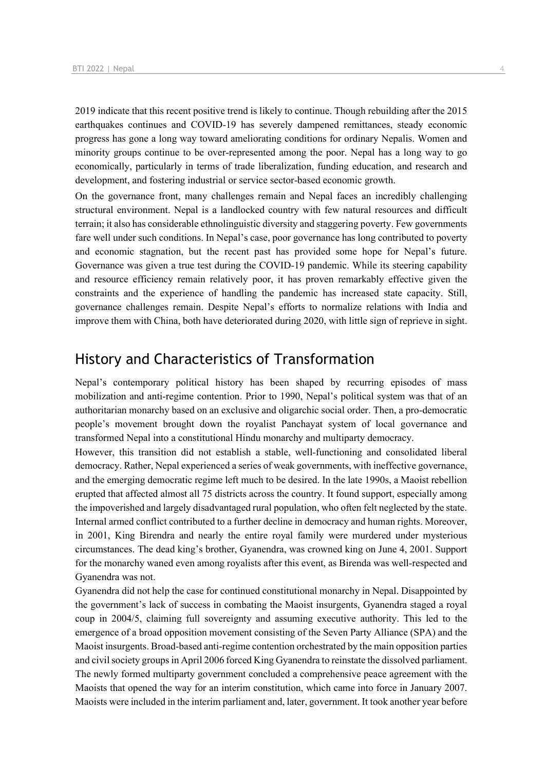2019 indicate that this recent positive trend is likely to continue. Though rebuilding after the 2015 earthquakes continues and COVID-19 has severely dampened remittances, steady economic progress has gone a long way toward ameliorating conditions for ordinary Nepalis. Women and minority groups continue to be over-represented among the poor. Nepal has a long way to go economically, particularly in terms of trade liberalization, funding education, and research and development, and fostering industrial or service sector-based economic growth.

On the governance front, many challenges remain and Nepal faces an incredibly challenging structural environment. Nepal is a landlocked country with few natural resources and difficult terrain; it also has considerable ethnolinguistic diversity and staggering poverty. Few governments fare well under such conditions. In Nepal's case, poor governance has long contributed to poverty and economic stagnation, but the recent past has provided some hope for Nepal's future. Governance was given a true test during the COVID-19 pandemic. While its steering capability and resource efficiency remain relatively poor, it has proven remarkably effective given the constraints and the experience of handling the pandemic has increased state capacity. Still, governance challenges remain. Despite Nepal's efforts to normalize relations with India and improve them with China, both have deteriorated during 2020, with little sign of reprieve in sight.

## History and Characteristics of Transformation

Nepal's contemporary political history has been shaped by recurring episodes of mass mobilization and anti-regime contention. Prior to 1990, Nepal's political system was that of an authoritarian monarchy based on an exclusive and oligarchic social order. Then, a pro-democratic people's movement brought down the royalist Panchayat system of local governance and transformed Nepal into a constitutional Hindu monarchy and multiparty democracy.

However, this transition did not establish a stable, well-functioning and consolidated liberal democracy. Rather, Nepal experienced a series of weak governments, with ineffective governance, and the emerging democratic regime left much to be desired. In the late 1990s, a Maoist rebellion erupted that affected almost all 75 districts across the country. It found support, especially among the impoverished and largely disadvantaged rural population, who often felt neglected by the state. Internal armed conflict contributed to a further decline in democracy and human rights. Moreover, in 2001, King Birendra and nearly the entire royal family were murdered under mysterious circumstances. The dead king's brother, Gyanendra, was crowned king on June 4, 2001. Support for the monarchy waned even among royalists after this event, as Birenda was well-respected and Gyanendra was not.

Gyanendra did not help the case for continued constitutional monarchy in Nepal. Disappointed by the government's lack of success in combating the Maoist insurgents, Gyanendra staged a royal coup in 2004/5, claiming full sovereignty and assuming executive authority. This led to the emergence of a broad opposition movement consisting of the Seven Party Alliance (SPA) and the Maoist insurgents. Broad-based anti-regime contention orchestrated by the main opposition parties and civil society groups in April 2006 forced King Gyanendra to reinstate the dissolved parliament. The newly formed multiparty government concluded a comprehensive peace agreement with the Maoists that opened the way for an interim constitution, which came into force in January 2007. Maoists were included in the interim parliament and, later, government. It took another year before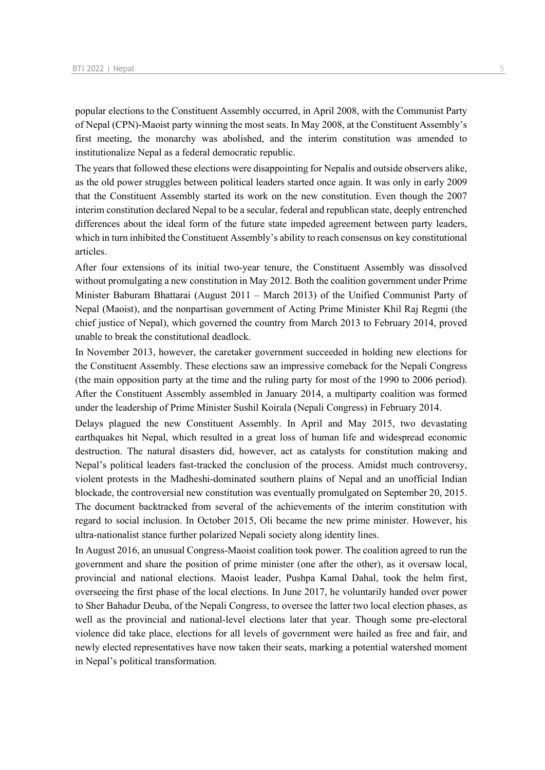popular elections to the Constituent Assembly occurred, in April 2008, with the Communist Party of Nepal (CPN)-Maoist party winning the most seats. In May 2008, at the Constituent Assembly's first meeting, the monarchy was abolished, and the interim constitution was amended to institutionalize Nepal as a federal democratic republic.

The years that followed these elections were disappointing for Nepalis and outside observers alike, as the old power struggles between political leaders started once again. It was only in early 2009 that the Constituent Assembly started its work on the new constitution. Even though the 2007 interim constitution declared Nepal to be a secular, federal and republican state, deeply entrenched differences about the ideal form of the future state impeded agreement between party leaders, which in turn inhibited the Constituent Assembly's ability to reach consensus on key constitutional articles.

After four extensions of its initial two-year tenure, the Constituent Assembly was dissolved without promulgating a new constitution in May 2012. Both the coalition government under Prime Minister Baburam Bhattarai (August 2011 – March 2013) of the Unified Communist Party of Nepal (Maoist), and the nonpartisan government of Acting Prime Minister Khil Raj Regmi (the chief justice of Nepal), which governed the country from March 2013 to February 2014, proved unable to break the constitutional deadlock.

In November 2013, however, the caretaker government succeeded in holding new elections for the Constituent Assembly. These elections saw an impressive comeback for the Nepali Congress (the main opposition party at the time and the ruling party for most of the 1990 to 2006 period). After the Constituent Assembly assembled in January 2014, a multiparty coalition was formed under the leadership of Prime Minister Sushil Koirala (Nepali Congress) in February 2014.

Delays plagued the new Constituent Assembly. In April and May 2015, two devastating earthquakes hit Nepal, which resulted in a great loss of human life and widespread economic destruction. The natural disasters did, however, act as catalysts for constitution making and Nepal's political leaders fast-tracked the conclusion of the process. Amidst much controversy, violent protests in the Madheshi-dominated southern plains of Nepal and an unofficial Indian blockade, the controversial new constitution was eventually promulgated on September 20, 2015. The document backtracked from several of the achievements of the interim constitution with regard to social inclusion. In October 2015, Oli became the new prime minister. However, his ultra-nationalist stance further polarized Nepali society along identity lines.

In August 2016, an unusual Congress-Maoist coalition took power. The coalition agreed to run the government and share the position of prime minister (one after the other), as it oversaw local, provincial and national elections. Maoist leader, Pushpa Kamal Dahal, took the helm first, overseeing the first phase of the local elections. In June 2017, he voluntarily handed over power to Sher Bahadur Deuba, of the Nepali Congress, to oversee the latter two local election phases, as well as the provincial and national-level elections later that year. Though some pre-electoral violence did take place, elections for all levels of government were hailed as free and fair, and newly elected representatives have now taken their seats, marking a potential watershed moment in Nepal's political transformation.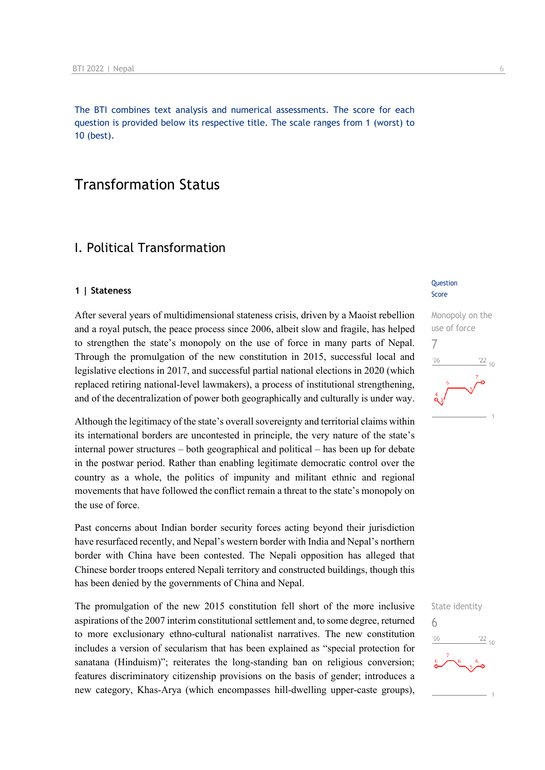The BTI combines text analysis and numerical assessments. The score for each question is provided below its respective title. The scale ranges from 1 (worst) to 10 (best).

## Transformation Status

## I. Political Transformation

#### **1 | Stateness**

After several years of multidimensional stateness crisis, driven by a Maoist rebellion and a royal putsch, the peace process since 2006, albeit slow and fragile, has helped to strengthen the state's monopoly on the use of force in many parts of Nepal. Through the promulgation of the new constitution in 2015, successful local and legislative elections in 2017, and successful partial national elections in 2020 (which replaced retiring national-level lawmakers), a process of institutional strengthening, and of the decentralization of power both geographically and culturally is under way.

Although the legitimacy of the state's overall sovereignty and territorial claims within its international borders are uncontested in principle, the very nature of the state's internal power structures – both geographical and political – has been up for debate in the postwar period. Rather than enabling legitimate democratic control over the country as a whole, the politics of impunity and militant ethnic and regional movements that have followed the conflict remain a threat to the state's monopoly on the use of force.

Past concerns about Indian border security forces acting beyond their jurisdiction have resurfaced recently, and Nepal's western border with India and Nepal's northern border with China have been contested. The Nepali opposition has alleged that Chinese border troops entered Nepali territory and constructed buildings, though this has been denied by the governments of China and Nepal.

The promulgation of the new 2015 constitution fell short of the more inclusive aspirations of the 2007 interim constitutional settlement and, to some degree, returned to more exclusionary ethno-cultural nationalist narratives. The new constitution includes a version of secularism that has been explained as "special protection for sanatana (Hinduism)"; reiterates the long-standing ban on religious conversion; features discriminatory citizenship provisions on the basis of gender; introduces a new category, Khas-Arya (which encompasses hill-dwelling upper-caste groups),

#### **Question** Score



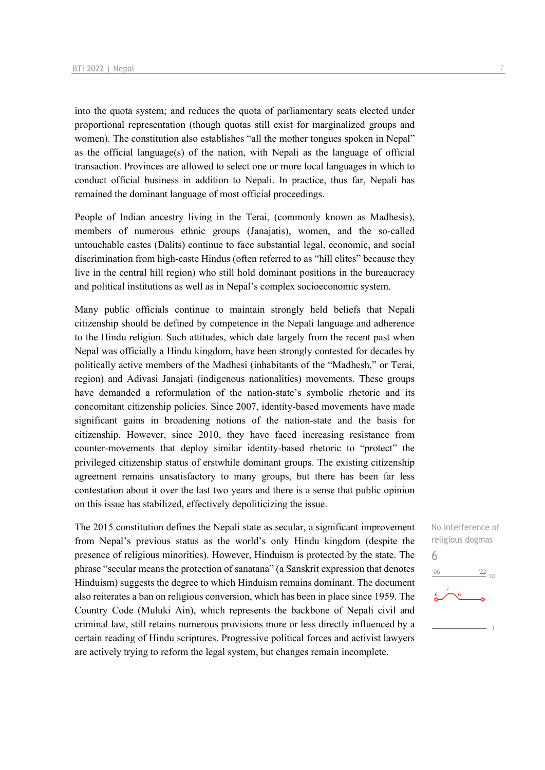into the quota system; and reduces the quota of parliamentary seats elected under proportional representation (though quotas still exist for marginalized groups and women). The constitution also establishes "all the mother tongues spoken in Nepal" as the official language(s) of the nation, with Nepali as the language of official transaction. Provinces are allowed to select one or more local languages in which to conduct official business in addition to Nepali. In practice, thus far, Nepali has remained the dominant language of most official proceedings.

People of Indian ancestry living in the Terai, (commonly known as Madhesis), members of numerous ethnic groups (Janajatis), women, and the so-called untouchable castes (Dalits) continue to face substantial legal, economic, and social discrimination from high-caste Hindus (often referred to as "hill elites" because they live in the central hill region) who still hold dominant positions in the bureaucracy and political institutions as well as in Nepal's complex socioeconomic system.

Many public officials continue to maintain strongly held beliefs that Nepali citizenship should be defined by competence in the Nepali language and adherence to the Hindu religion. Such attitudes, which date largely from the recent past when Nepal was officially a Hindu kingdom, have been strongly contested for decades by politically active members of the Madhesi (inhabitants of the "Madhesh," or Terai, region) and Adivasi Janajati (indigenous nationalities) movements. These groups have demanded a reformulation of the nation-state's symbolic rhetoric and its concomitant citizenship policies. Since 2007, identity-based movements have made significant gains in broadening notions of the nation-state and the basis for citizenship. However, since 2010, they have faced increasing resistance from counter-movements that deploy similar identity-based rhetoric to "protect" the privileged citizenship status of erstwhile dominant groups. The existing citizenship agreement remains unsatisfactory to many groups, but there has been far less contestation about it over the last two years and there is a sense that public opinion on this issue has stabilized, effectively depoliticizing the issue.

The 2015 constitution defines the Nepali state as secular, a significant improvement from Nepal's previous status as the world's only Hindu kingdom (despite the presence of religious minorities). However, Hinduism is protected by the state. The phrase "secular means the protection of sanatana" (a Sanskrit expression that denotes Hinduism) suggests the degree to which Hinduism remains dominant. The document also reiterates a ban on religious conversion, which has been in place since 1959. The Country Code (Muluki Ain), which represents the backbone of Nepali civil and criminal law, still retains numerous provisions more or less directly influenced by a certain reading of Hindu scriptures. Progressive political forces and activist lawyers are actively trying to reform the legal system, but changes remain incomplete.

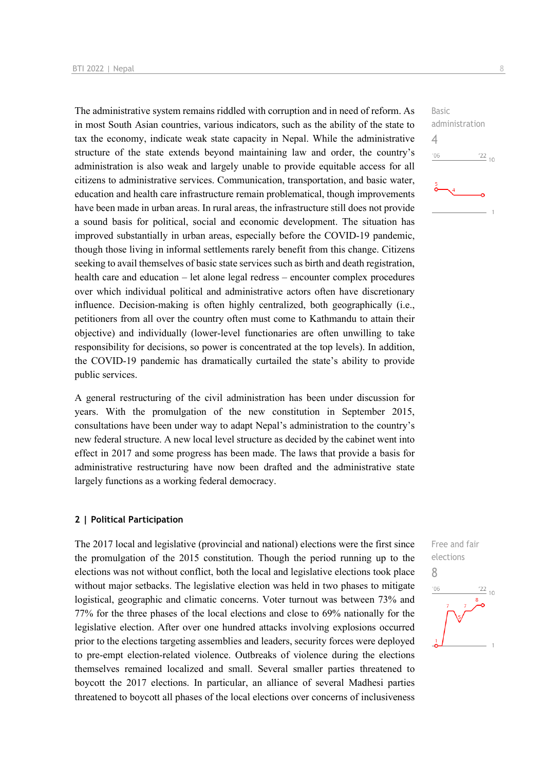The administrative system remains riddled with corruption and in need of reform. As in most South Asian countries, various indicators, such as the ability of the state to tax the economy, indicate weak state capacity in Nepal. While the administrative structure of the state extends beyond maintaining law and order, the country's administration is also weak and largely unable to provide equitable access for all citizens to administrative services. Communication, transportation, and basic water, education and health care infrastructure remain problematical, though improvements have been made in urban areas. In rural areas, the infrastructure still does not provide a sound basis for political, social and economic development. The situation has improved substantially in urban areas, especially before the COVID-19 pandemic, though those living in informal settlements rarely benefit from this change. Citizens seeking to avail themselves of basic state services such as birth and death registration, health care and education – let alone legal redress – encounter complex procedures over which individual political and administrative actors often have discretionary influence. Decision-making is often highly centralized, both geographically (i.e., petitioners from all over the country often must come to Kathmandu to attain their objective) and individually (lower-level functionaries are often unwilling to take responsibility for decisions, so power is concentrated at the top levels). In addition, the COVID-19 pandemic has dramatically curtailed the state's ability to provide public services.

A general restructuring of the civil administration has been under discussion for years. With the promulgation of the new constitution in September 2015, consultations have been under way to adapt Nepal's administration to the country's new federal structure. A new local level structure as decided by the cabinet went into effect in 2017 and some progress has been made. The laws that provide a basis for administrative restructuring have now been drafted and the administrative state largely functions as a working federal democracy.

#### **2 | Political Participation**

The 2017 local and legislative (provincial and national) elections were the first since the promulgation of the 2015 constitution. Though the period running up to the elections was not without conflict, both the local and legislative elections took place without major setbacks. The legislative election was held in two phases to mitigate logistical, geographic and climatic concerns. Voter turnout was between 73% and 77% for the three phases of the local elections and close to 69% nationally for the legislative election. After over one hundred attacks involving explosions occurred prior to the elections targeting assemblies and leaders, security forces were deployed to pre-empt election-related violence. Outbreaks of violence during the elections themselves remained localized and small. Several smaller parties threatened to boycott the 2017 elections. In particular, an alliance of several Madhesi parties threatened to boycott all phases of the local elections over concerns of inclusiveness

Basic administration  $\Delta$  $-06$  $\frac{22}{10}$ 

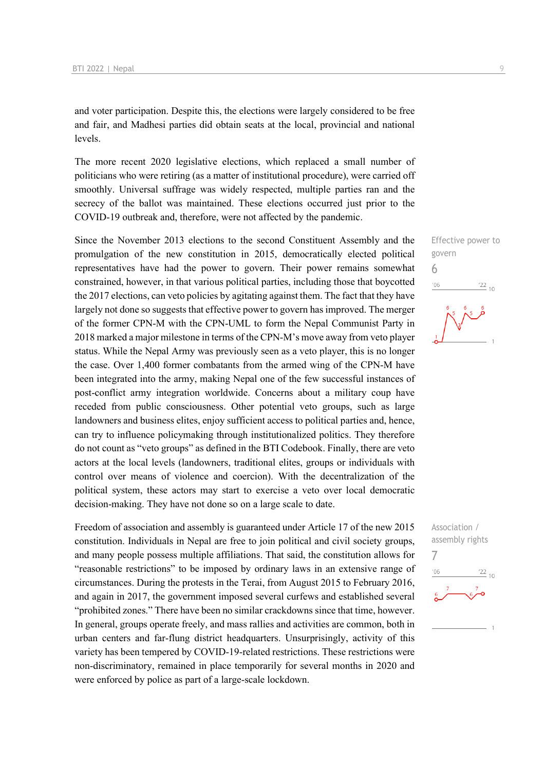and voter participation. Despite this, the elections were largely considered to be free and fair, and Madhesi parties did obtain seats at the local, provincial and national levels.

The more recent 2020 legislative elections, which replaced a small number of politicians who were retiring (as a matter of institutional procedure), were carried off smoothly. Universal suffrage was widely respected, multiple parties ran and the secrecy of the ballot was maintained. These elections occurred just prior to the COVID-19 outbreak and, therefore, were not affected by the pandemic.

Since the November 2013 elections to the second Constituent Assembly and the promulgation of the new constitution in 2015, democratically elected political representatives have had the power to govern. Their power remains somewhat constrained, however, in that various political parties, including those that boycotted the 2017 elections, can veto policies by agitating against them. The fact that they have largely not done so suggests that effective power to govern has improved. The merger of the former CPN-M with the CPN-UML to form the Nepal Communist Party in 2018 marked a major milestone in terms of the CPN-M's move away from veto player status. While the Nepal Army was previously seen as a veto player, this is no longer the case. Over 1,400 former combatants from the armed wing of the CPN-M have been integrated into the army, making Nepal one of the few successful instances of post-conflict army integration worldwide. Concerns about a military coup have receded from public consciousness. Other potential veto groups, such as large landowners and business elites, enjoy sufficient access to political parties and, hence, can try to influence policymaking through institutionalized politics. They therefore do not count as "veto groups" as defined in the BTI Codebook. Finally, there are veto actors at the local levels (landowners, traditional elites, groups or individuals with control over means of violence and coercion). With the decentralization of the political system, these actors may start to exercise a veto over local democratic decision-making. They have not done so on a large scale to date.

Freedom of association and assembly is guaranteed under Article 17 of the new 2015 constitution. Individuals in Nepal are free to join political and civil society groups, and many people possess multiple affiliations. That said, the constitution allows for "reasonable restrictions" to be imposed by ordinary laws in an extensive range of circumstances. During the protests in the Terai, from August 2015 to February 2016, and again in 2017, the government imposed several curfews and established several "prohibited zones." There have been no similar crackdowns since that time, however. In general, groups operate freely, and mass rallies and activities are common, both in urban centers and far-flung district headquarters. Unsurprisingly, activity of this variety has been tempered by COVID-19-related restrictions. These restrictions were non-discriminatory, remained in place temporarily for several months in 2020 and were enforced by police as part of a large-scale lockdown.



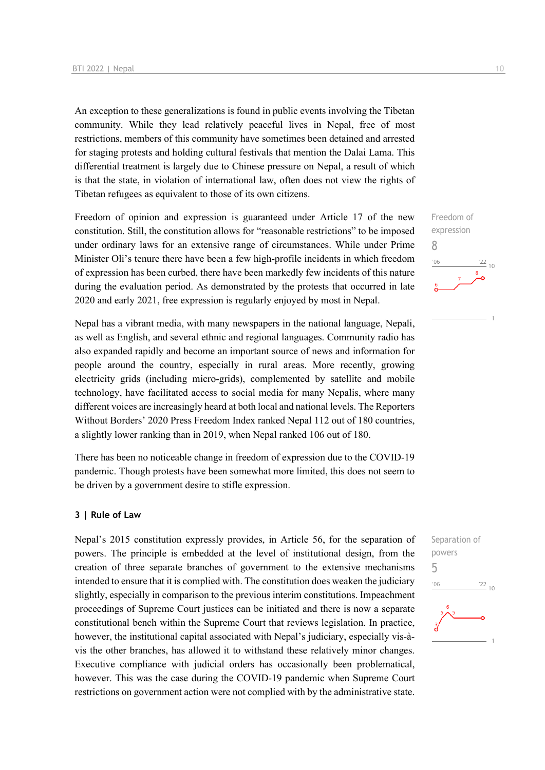An exception to these generalizations is found in public events involving the Tibetan community. While they lead relatively peaceful lives in Nepal, free of most restrictions, members of this community have sometimes been detained and arrested for staging protests and holding cultural festivals that mention the Dalai Lama. This differential treatment is largely due to Chinese pressure on Nepal, a result of which is that the state, in violation of international law, often does not view the rights of Tibetan refugees as equivalent to those of its own citizens.

Freedom of opinion and expression is guaranteed under Article 17 of the new constitution. Still, the constitution allows for "reasonable restrictions" to be imposed under ordinary laws for an extensive range of circumstances. While under Prime Minister Oli's tenure there have been a few high-profile incidents in which freedom of expression has been curbed, there have been markedly few incidents of this nature during the evaluation period. As demonstrated by the protests that occurred in late 2020 and early 2021, free expression is regularly enjoyed by most in Nepal.

Nepal has a vibrant media, with many newspapers in the national language, Nepali, as well as English, and several ethnic and regional languages. Community radio has also expanded rapidly and become an important source of news and information for people around the country, especially in rural areas. More recently, growing electricity grids (including micro-grids), complemented by satellite and mobile technology, have facilitated access to social media for many Nepalis, where many different voices are increasingly heard at both local and national levels. The Reporters Without Borders' 2020 Press Freedom Index ranked Nepal 112 out of 180 countries, a slightly lower ranking than in 2019, when Nepal ranked 106 out of 180.

There has been no noticeable change in freedom of expression due to the COVID-19 pandemic. Though protests have been somewhat more limited, this does not seem to be driven by a government desire to stifle expression.

#### **3 | Rule of Law**

Nepal's 2015 constitution expressly provides, in Article 56, for the separation of powers. The principle is embedded at the level of institutional design, from the creation of three separate branches of government to the extensive mechanisms intended to ensure that it is complied with. The constitution does weaken the judiciary slightly, especially in comparison to the previous interim constitutions. Impeachment proceedings of Supreme Court justices can be initiated and there is now a separate constitutional bench within the Supreme Court that reviews legislation. In practice, however, the institutional capital associated with Nepal's judiciary, especially vis-àvis the other branches, has allowed it to withstand these relatively minor changes. Executive compliance with judicial orders has occasionally been problematical, however. This was the case during the COVID-19 pandemic when Supreme Court restrictions on government action were not complied with by the administrative state.



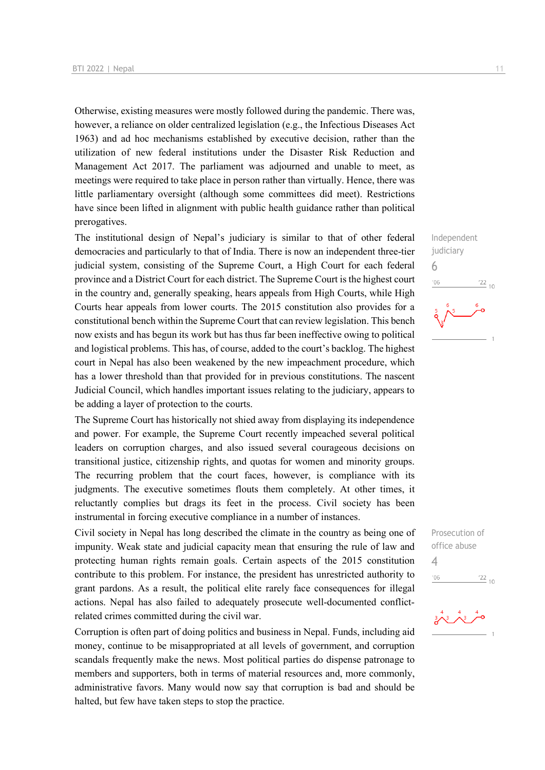Otherwise, existing measures were mostly followed during the pandemic. There was, however, a reliance on older centralized legislation (e.g., the Infectious Diseases Act 1963) and ad hoc mechanisms established by executive decision, rather than the utilization of new federal institutions under the Disaster Risk Reduction and Management Act 2017. The parliament was adjourned and unable to meet, as meetings were required to take place in person rather than virtually. Hence, there was little parliamentary oversight (although some committees did meet). Restrictions have since been lifted in alignment with public health guidance rather than political prerogatives.

The institutional design of Nepal's judiciary is similar to that of other federal democracies and particularly to that of India. There is now an independent three-tier judicial system, consisting of the Supreme Court, a High Court for each federal province and a District Court for each district. The Supreme Court is the highest court in the country and, generally speaking, hears appeals from High Courts, while High Courts hear appeals from lower courts. The 2015 constitution also provides for a constitutional bench within the Supreme Court that can review legislation. This bench now exists and has begun its work but has thus far been ineffective owing to political and logistical problems. This has, of course, added to the court's backlog. The highest court in Nepal has also been weakened by the new impeachment procedure, which has a lower threshold than that provided for in previous constitutions. The nascent Judicial Council, which handles important issues relating to the judiciary, appears to be adding a layer of protection to the courts.

The Supreme Court has historically not shied away from displaying its independence and power. For example, the Supreme Court recently impeached several political leaders on corruption charges, and also issued several courageous decisions on transitional justice, citizenship rights, and quotas for women and minority groups. The recurring problem that the court faces, however, is compliance with its judgments. The executive sometimes flouts them completely. At other times, it reluctantly complies but drags its feet in the process. Civil society has been instrumental in forcing executive compliance in a number of instances.

Civil society in Nepal has long described the climate in the country as being one of impunity. Weak state and judicial capacity mean that ensuring the rule of law and protecting human rights remain goals. Certain aspects of the 2015 constitution contribute to this problem. For instance, the president has unrestricted authority to grant pardons. As a result, the political elite rarely face consequences for illegal actions. Nepal has also failed to adequately prosecute well-documented conflictrelated crimes committed during the civil war.

Corruption is often part of doing politics and business in Nepal. Funds, including aid money, continue to be misappropriated at all levels of government, and corruption scandals frequently make the news. Most political parties do dispense patronage to members and supporters, both in terms of material resources and, more commonly, administrative favors. Many would now say that corruption is bad and should be halted, but few have taken steps to stop the practice.





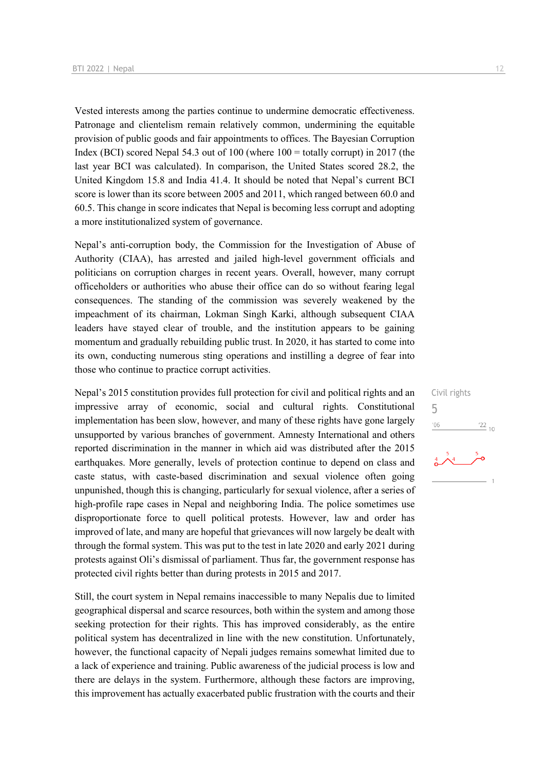Vested interests among the parties continue to undermine democratic effectiveness. Patronage and clientelism remain relatively common, undermining the equitable provision of public goods and fair appointments to offices. The Bayesian Corruption Index (BCI) scored Nepal 54.3 out of  $100$  (where  $100 =$  totally corrupt) in 2017 (the last year BCI was calculated). In comparison, the United States scored 28.2, the United Kingdom 15.8 and India 41.4. It should be noted that Nepal's current BCI score is lower than its score between 2005 and 2011, which ranged between 60.0 and 60.5. This change in score indicates that Nepal is becoming less corrupt and adopting a more institutionalized system of governance.

Nepal's anti-corruption body, the Commission for the Investigation of Abuse of Authority (CIAA), has arrested and jailed high-level government officials and politicians on corruption charges in recent years. Overall, however, many corrupt officeholders or authorities who abuse their office can do so without fearing legal consequences. The standing of the commission was severely weakened by the impeachment of its chairman, Lokman Singh Karki, although subsequent CIAA leaders have stayed clear of trouble, and the institution appears to be gaining momentum and gradually rebuilding public trust. In 2020, it has started to come into its own, conducting numerous sting operations and instilling a degree of fear into those who continue to practice corrupt activities.

Nepal's 2015 constitution provides full protection for civil and political rights and an impressive array of economic, social and cultural rights. Constitutional implementation has been slow, however, and many of these rights have gone largely unsupported by various branches of government. Amnesty International and others reported discrimination in the manner in which aid was distributed after the 2015 earthquakes. More generally, levels of protection continue to depend on class and caste status, with caste-based discrimination and sexual violence often going unpunished, though this is changing, particularly for sexual violence, after a series of high-profile rape cases in Nepal and neighboring India. The police sometimes use disproportionate force to quell political protests. However, law and order has improved of late, and many are hopeful that grievances will now largely be dealt with through the formal system. This was put to the test in late 2020 and early 2021 during protests against Oli's dismissal of parliament. Thus far, the government response has protected civil rights better than during protests in 2015 and 2017.

Still, the court system in Nepal remains inaccessible to many Nepalis due to limited geographical dispersal and scarce resources, both within the system and among those seeking protection for their rights. This has improved considerably, as the entire political system has decentralized in line with the new constitution. Unfortunately, however, the functional capacity of Nepali judges remains somewhat limited due to a lack of experience and training. Public awareness of the judicial process is low and there are delays in the system. Furthermore, although these factors are improving, this improvement has actually exacerbated public frustration with the courts and their

Civil rights 5 $06'$  $\frac{22}{10}$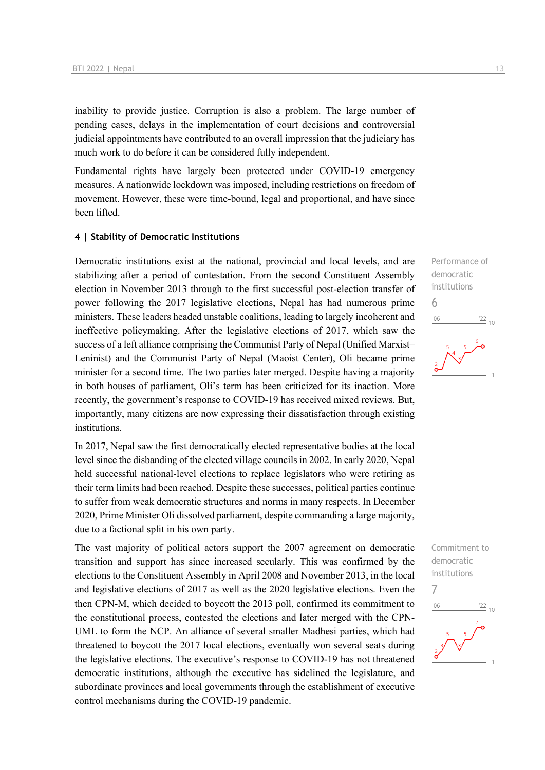inability to provide justice. Corruption is also a problem. The large number of pending cases, delays in the implementation of court decisions and controversial judicial appointments have contributed to an overall impression that the judiciary has much work to do before it can be considered fully independent.

Fundamental rights have largely been protected under COVID-19 emergency measures. A nationwide lockdown was imposed, including restrictions on freedom of movement. However, these were time-bound, legal and proportional, and have since been lifted.

#### **4 | Stability of Democratic Institutions**

Democratic institutions exist at the national, provincial and local levels, and are stabilizing after a period of contestation. From the second Constituent Assembly election in November 2013 through to the first successful post-election transfer of power following the 2017 legislative elections, Nepal has had numerous prime ministers. These leaders headed unstable coalitions, leading to largely incoherent and ineffective policymaking. After the legislative elections of 2017, which saw the success of a left alliance comprising the Communist Party of Nepal (Unified Marxist– Leninist) and the Communist Party of Nepal (Maoist Center), Oli became prime minister for a second time. The two parties later merged. Despite having a majority in both houses of parliament, Oli's term has been criticized for its inaction. More recently, the government's response to COVID-19 has received mixed reviews. But, importantly, many citizens are now expressing their dissatisfaction through existing institutions.

In 2017, Nepal saw the first democratically elected representative bodies at the local level since the disbanding of the elected village councils in 2002. In early 2020, Nepal held successful national-level elections to replace legislators who were retiring as their term limits had been reached. Despite these successes, political parties continue to suffer from weak democratic structures and norms in many respects. In December 2020, Prime Minister Oli dissolved parliament, despite commanding a large majority, due to a factional split in his own party.

The vast majority of political actors support the 2007 agreement on democratic transition and support has since increased secularly. This was confirmed by the elections to the Constituent Assembly in April 2008 and November 2013, in the local and legislative elections of 2017 as well as the 2020 legislative elections. Even the then CPN-M, which decided to boycott the 2013 poll, confirmed its commitment to the constitutional process, contested the elections and later merged with the CPN-UML to form the NCP. An alliance of several smaller Madhesi parties, which had threatened to boycott the 2017 local elections, eventually won several seats during the legislative elections. The executive's response to COVID-19 has not threatened democratic institutions, although the executive has sidelined the legislature, and subordinate provinces and local governments through the establishment of executive control mechanisms during the COVID-19 pandemic.

Performance of democratic institutions 6  $n<sub>0</sub>$  $\frac{22}{10}$ 

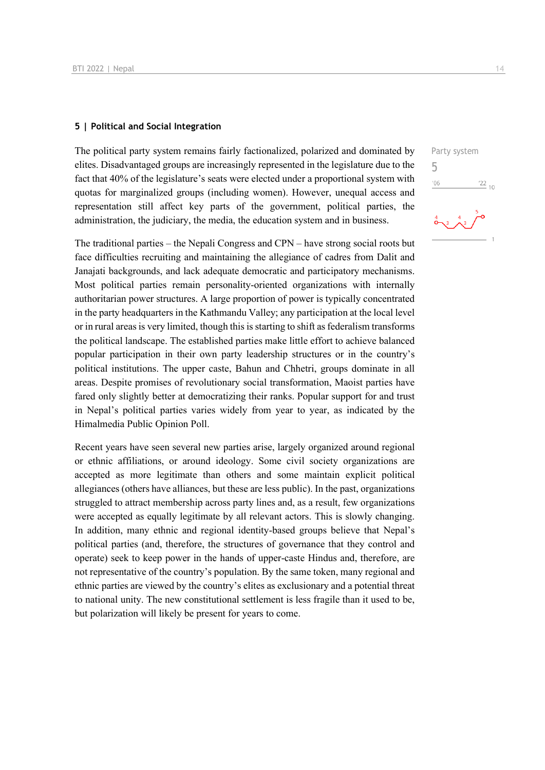#### **5 | Political and Social Integration**

The political party system remains fairly factionalized, polarized and dominated by elites. Disadvantaged groups are increasingly represented in the legislature due to the fact that 40% of the legislature's seats were elected under a proportional system with quotas for marginalized groups (including women). However, unequal access and representation still affect key parts of the government, political parties, the administration, the judiciary, the media, the education system and in business.

The traditional parties – the Nepali Congress and CPN – have strong social roots but face difficulties recruiting and maintaining the allegiance of cadres from Dalit and Janajati backgrounds, and lack adequate democratic and participatory mechanisms. Most political parties remain personality-oriented organizations with internally authoritarian power structures. A large proportion of power is typically concentrated in the party headquarters in the Kathmandu Valley; any participation at the local level or in rural areas is very limited, though this is starting to shift as federalism transforms the political landscape. The established parties make little effort to achieve balanced popular participation in their own party leadership structures or in the country's political institutions. The upper caste, Bahun and Chhetri, groups dominate in all areas. Despite promises of revolutionary social transformation, Maoist parties have fared only slightly better at democratizing their ranks. Popular support for and trust in Nepal's political parties varies widely from year to year, as indicated by the Himalmedia Public Opinion Poll.

Recent years have seen several new parties arise, largely organized around regional or ethnic affiliations, or around ideology. Some civil society organizations are accepted as more legitimate than others and some maintain explicit political allegiances (others have alliances, but these are less public). In the past, organizations struggled to attract membership across party lines and, as a result, few organizations were accepted as equally legitimate by all relevant actors. This is slowly changing. In addition, many ethnic and regional identity-based groups believe that Nepal's political parties (and, therefore, the structures of governance that they control and operate) seek to keep power in the hands of upper-caste Hindus and, therefore, are not representative of the country's population. By the same token, many regional and ethnic parties are viewed by the country's elites as exclusionary and a potential threat to national unity. The new constitutional settlement is less fragile than it used to be, but polarization will likely be present for years to come.

Party system 5 $\frac{22}{10}$  $-06$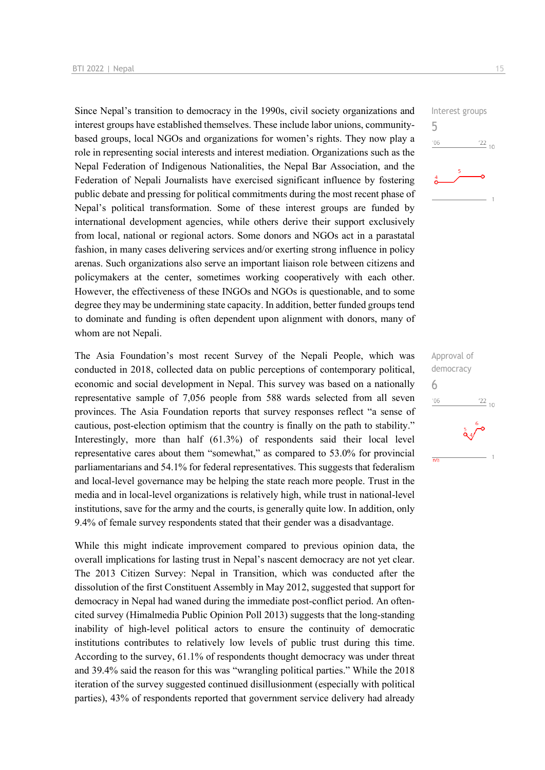Since Nepal's transition to democracy in the 1990s, civil society organizations and interest groups have established themselves. These include labor unions, communitybased groups, local NGOs and organizations for women's rights. They now play a role in representing social interests and interest mediation. Organizations such as the Nepal Federation of Indigenous Nationalities, the Nepal Bar Association, and the Federation of Nepali Journalists have exercised significant influence by fostering public debate and pressing for political commitments during the most recent phase of Nepal's political transformation. Some of these interest groups are funded by international development agencies, while others derive their support exclusively from local, national or regional actors. Some donors and NGOs act in a parastatal fashion, in many cases delivering services and/or exerting strong influence in policy arenas. Such organizations also serve an important liaison role between citizens and policymakers at the center, sometimes working cooperatively with each other. However, the effectiveness of these INGOs and NGOs is questionable, and to some degree they may be undermining state capacity. In addition, better funded groups tend to dominate and funding is often dependent upon alignment with donors, many of whom are not Nepali.

The Asia Foundation's most recent Survey of the Nepali People, which was conducted in 2018, collected data on public perceptions of contemporary political, economic and social development in Nepal. This survey was based on a nationally representative sample of 7,056 people from 588 wards selected from all seven provinces. The Asia Foundation reports that survey responses reflect "a sense of cautious, post-election optimism that the country is finally on the path to stability." Interestingly, more than half (61.3%) of respondents said their local level representative cares about them "somewhat," as compared to 53.0% for provincial parliamentarians and 54.1% for federal representatives. This suggests that federalism and local-level governance may be helping the state reach more people. Trust in the media and in local-level organizations is relatively high, while trust in national-level institutions, save for the army and the courts, is generally quite low. In addition, only 9.4% of female survey respondents stated that their gender was a disadvantage.

While this might indicate improvement compared to previous opinion data, the overall implications for lasting trust in Nepal's nascent democracy are not yet clear. The 2013 Citizen Survey: Nepal in Transition, which was conducted after the dissolution of the first Constituent Assembly in May 2012, suggested that support for democracy in Nepal had waned during the immediate post-conflict period. An oftencited survey (Himalmedia Public Opinion Poll 2013) suggests that the long-standing inability of high-level political actors to ensure the continuity of democratic institutions contributes to relatively low levels of public trust during this time. According to the survey, 61.1% of respondents thought democracy was under threat and 39.4% said the reason for this was "wrangling political parties." While the 2018 iteration of the survey suggested continued disillusionment (especially with political parties), 43% of respondents reported that government service delivery had already



Approval of democracy 6 $^{\prime}06$  $\frac{22}{10}$  $\overline{n/a}$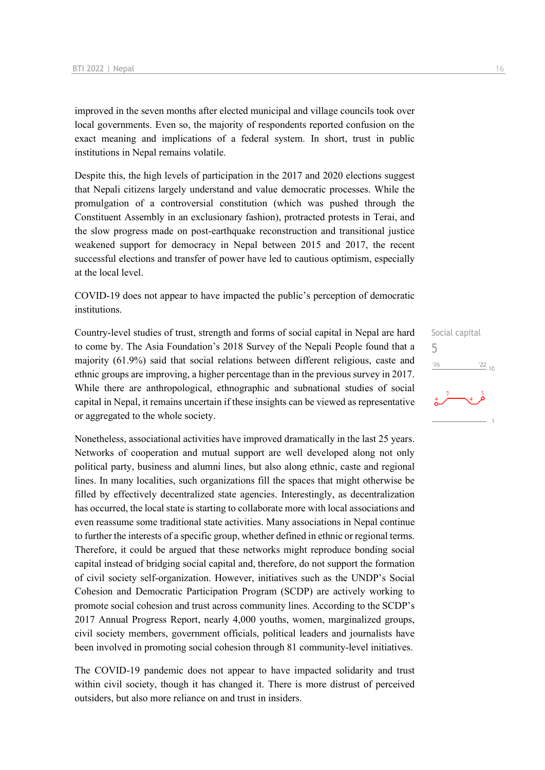improved in the seven months after elected municipal and village councils took over local governments. Even so, the majority of respondents reported confusion on the exact meaning and implications of a federal system. In short, trust in public institutions in Nepal remains volatile.

Despite this, the high levels of participation in the 2017 and 2020 elections suggest that Nepali citizens largely understand and value democratic processes. While the promulgation of a controversial constitution (which was pushed through the Constituent Assembly in an exclusionary fashion), protracted protests in Terai, and the slow progress made on post-earthquake reconstruction and transitional justice weakened support for democracy in Nepal between 2015 and 2017, the recent successful elections and transfer of power have led to cautious optimism, especially at the local level.

COVID-19 does not appear to have impacted the public's perception of democratic institutions.

Country-level studies of trust, strength and forms of social capital in Nepal are hard to come by. The Asia Foundation's 2018 Survey of the Nepali People found that a majority (61.9%) said that social relations between different religious, caste and ethnic groups are improving, a higher percentage than in the previous survey in 2017. While there are anthropological, ethnographic and subnational studies of social capital in Nepal, it remains uncertain if these insights can be viewed as representative or aggregated to the whole society.

Nonetheless, associational activities have improved dramatically in the last 25 years. Networks of cooperation and mutual support are well developed along not only political party, business and alumni lines, but also along ethnic, caste and regional lines. In many localities, such organizations fill the spaces that might otherwise be filled by effectively decentralized state agencies. Interestingly, as decentralization has occurred, the local state is starting to collaborate more with local associations and even reassume some traditional state activities. Many associations in Nepal continue to further the interests of a specific group, whether defined in ethnic or regional terms. Therefore, it could be argued that these networks might reproduce bonding social capital instead of bridging social capital and, therefore, do not support the formation of civil society self-organization. However, initiatives such as the UNDP's Social Cohesion and Democratic Participation Program (SCDP) are actively working to promote social cohesion and trust across community lines. According to the SCDP's 2017 Annual Progress Report, nearly 4,000 youths, women, marginalized groups, civil society members, government officials, political leaders and journalists have been involved in promoting social cohesion through 81 community-level initiatives.

The COVID-19 pandemic does not appear to have impacted solidarity and trust within civil society, though it has changed it. There is more distrust of perceived outsiders, but also more reliance on and trust in insiders.

Social capital 5 $-06$  $^{22}$  10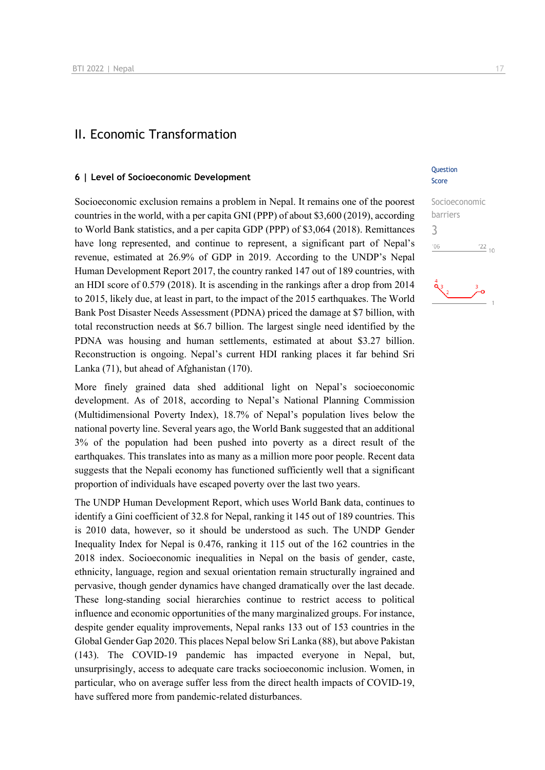### II. Economic Transformation

#### **6 | Level of Socioeconomic Development**

Socioeconomic exclusion remains a problem in Nepal. It remains one of the poorest countries in the world, with a per capita GNI (PPP) of about \$3,600 (2019), according to World Bank statistics, and a per capita GDP (PPP) of \$3,064 (2018). Remittances have long represented, and continue to represent, a significant part of Nepal's revenue, estimated at 26.9% of GDP in 2019. According to the UNDP's Nepal Human Development Report 2017, the country ranked 147 out of 189 countries, with an HDI score of 0.579 (2018). It is ascending in the rankings after a drop from 2014 to 2015, likely due, at least in part, to the impact of the 2015 earthquakes. The World Bank Post Disaster Needs Assessment (PDNA) priced the damage at \$7 billion, with total reconstruction needs at \$6.7 billion. The largest single need identified by the PDNA was housing and human settlements, estimated at about \$3.27 billion. Reconstruction is ongoing. Nepal's current HDI ranking places it far behind Sri Lanka (71), but ahead of Afghanistan (170).

More finely grained data shed additional light on Nepal's socioeconomic development. As of 2018, according to Nepal's National Planning Commission (Multidimensional Poverty Index), 18.7% of Nepal's population lives below the national poverty line. Several years ago, the World Bank suggested that an additional 3% of the population had been pushed into poverty as a direct result of the earthquakes. This translates into as many as a million more poor people. Recent data suggests that the Nepali economy has functioned sufficiently well that a significant proportion of individuals have escaped poverty over the last two years.

The UNDP Human Development Report, which uses World Bank data, continues to identify a Gini coefficient of 32.8 for Nepal, ranking it 145 out of 189 countries. This is 2010 data, however, so it should be understood as such. The UNDP Gender Inequality Index for Nepal is 0.476, ranking it 115 out of the 162 countries in the 2018 index. Socioeconomic inequalities in Nepal on the basis of gender, caste, ethnicity, language, region and sexual orientation remain structurally ingrained and pervasive, though gender dynamics have changed dramatically over the last decade. These long-standing social hierarchies continue to restrict access to political influence and economic opportunities of the many marginalized groups. For instance, despite gender equality improvements, Nepal ranks 133 out of 153 countries in the Global Gender Gap 2020. This places Nepal below Sri Lanka (88), but above Pakistan (143). The COVID-19 pandemic has impacted everyone in Nepal, but, unsurprisingly, access to adequate care tracks socioeconomic inclusion. Women, in particular, who on average suffer less from the direct health impacts of COVID-19, have suffered more from pandemic-related disturbances.

#### **Ouestion** Score

Socioeconomic barriers 3 $^{\prime}06$  $\frac{22}{10}$ 

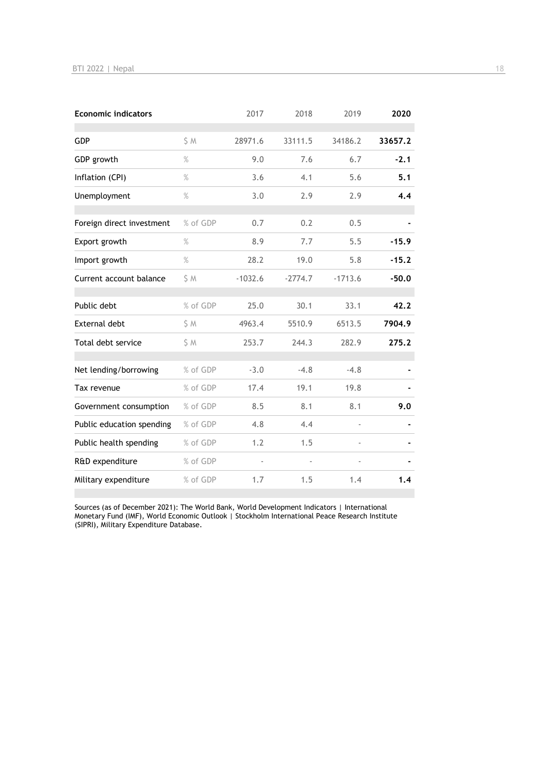| <b>Economic indicators</b> |          | 2017      | 2018      | 2019      | 2020    |
|----------------------------|----------|-----------|-----------|-----------|---------|
| <b>GDP</b>                 | S M      | 28971.6   | 33111.5   | 34186.2   | 33657.2 |
| GDP growth                 | $\%$     | 9.0       | 7.6       | 6.7       | $-2.1$  |
| Inflation (CPI)            | $\%$     | 3.6       | 4.1       | 5.6       | 5.1     |
| Unemployment               | $\%$     | 3.0       | 2.9       | 2.9       | 4.4     |
| Foreign direct investment  | % of GDP | 0.7       | 0.2       | 0.5       |         |
| Export growth              | $\%$     | 8.9       | 7.7       | 5.5       | $-15.9$ |
| Import growth              | $\%$     | 28.2      | 19.0      | 5.8       | $-15.2$ |
| Current account balance    | S M      | $-1032.6$ | $-2774.7$ | $-1713.6$ | $-50.0$ |
| Public debt                | % of GDP | 25.0      | 30.1      | 33.1      | 42.2    |
| <b>External debt</b>       | \$ M     | 4963.4    | 5510.9    | 6513.5    | 7904.9  |
| Total debt service         | S M      | 253.7     | 244.3     | 282.9     | 275.2   |
| Net lending/borrowing      | % of GDP | $-3.0$    | $-4.8$    | $-4.8$    |         |
| Tax revenue                | % of GDP | 17.4      | 19.1      | 19.8      |         |
| Government consumption     | % of GDP | 8.5       | 8.1       | 8.1       | 9.0     |
| Public education spending  | % of GDP | 4.8       | 4.4       |           |         |
| Public health spending     | % of GDP | 1.2       | 1.5       |           |         |
| R&D expenditure            | % of GDP |           |           |           |         |
| Military expenditure       | % of GDP | 1.7       | 1.5       | 1.4       | 1.4     |

Sources (as of December 2021): The World Bank, World Development Indicators | International Monetary Fund (IMF), World Economic Outlook | Stockholm International Peace Research Institute (SIPRI), Military Expenditure Database.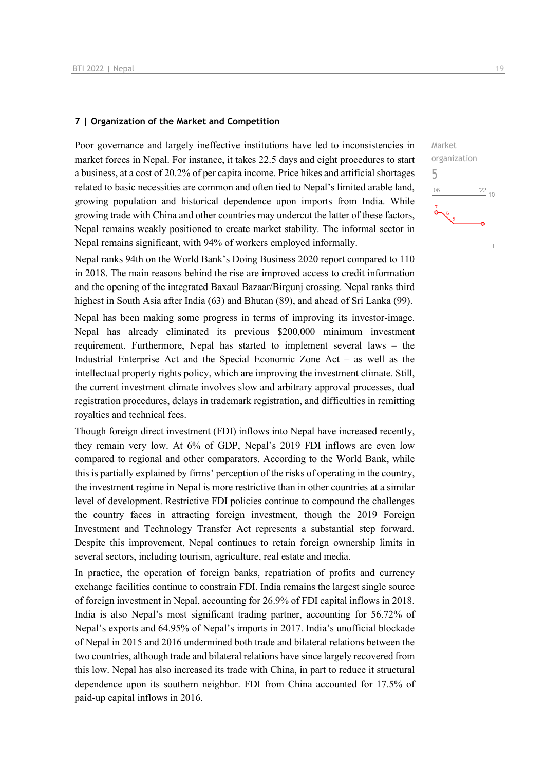#### **7 | Organization of the Market and Competition**

Poor governance and largely ineffective institutions have led to inconsistencies in market forces in Nepal. For instance, it takes 22.5 days and eight procedures to start a business, at a cost of 20.2% of per capita income. Price hikes and artificial shortages related to basic necessities are common and often tied to Nepal's limited arable land, growing population and historical dependence upon imports from India. While growing trade with China and other countries may undercut the latter of these factors, Nepal remains weakly positioned to create market stability. The informal sector in Nepal remains significant, with 94% of workers employed informally.

Nepal ranks 94th on the World Bank's Doing Business 2020 report compared to 110 in 2018. The main reasons behind the rise are improved access to credit information and the opening of the integrated Baxaul Bazaar/Birgunj crossing. Nepal ranks third highest in South Asia after India (63) and Bhutan (89), and ahead of Sri Lanka (99).

Nepal has been making some progress in terms of improving its investor-image. Nepal has already eliminated its previous \$200,000 minimum investment requirement. Furthermore, Nepal has started to implement several laws – the Industrial Enterprise Act and the Special Economic Zone Act – as well as the intellectual property rights policy, which are improving the investment climate. Still, the current investment climate involves slow and arbitrary approval processes, dual registration procedures, delays in trademark registration, and difficulties in remitting royalties and technical fees.

Though foreign direct investment (FDI) inflows into Nepal have increased recently, they remain very low. At 6% of GDP, Nepal's 2019 FDI inflows are even low compared to regional and other comparators. According to the World Bank, while this is partially explained by firms' perception of the risks of operating in the country, the investment regime in Nepal is more restrictive than in other countries at a similar level of development. Restrictive FDI policies continue to compound the challenges the country faces in attracting foreign investment, though the 2019 Foreign Investment and Technology Transfer Act represents a substantial step forward. Despite this improvement, Nepal continues to retain foreign ownership limits in several sectors, including tourism, agriculture, real estate and media.

In practice, the operation of foreign banks, repatriation of profits and currency exchange facilities continue to constrain FDI. India remains the largest single source of foreign investment in Nepal, accounting for 26.9% of FDI capital inflows in 2018. India is also Nepal's most significant trading partner, accounting for 56.72% of Nepal's exports and 64.95% of Nepal's imports in 2017. India's unofficial blockade of Nepal in 2015 and 2016 undermined both trade and bilateral relations between the two countries, although trade and bilateral relations have since largely recovered from this low. Nepal has also increased its trade with China, in part to reduce it structural dependence upon its southern neighbor. FDI from China accounted for 17.5% of paid-up capital inflows in 2016.

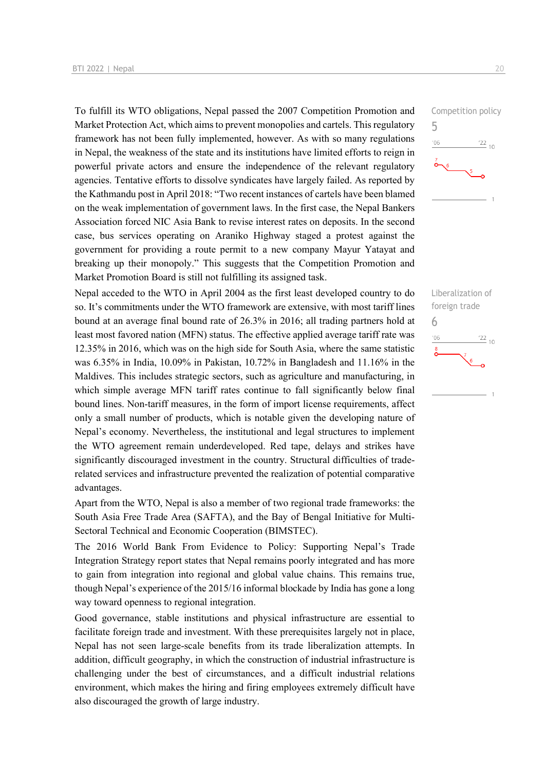To fulfill its WTO obligations, Nepal passed the 2007 Competition Promotion and Market Protection Act, which aims to prevent monopolies and cartels. This regulatory framework has not been fully implemented, however. As with so many regulations in Nepal, the weakness of the state and its institutions have limited efforts to reign in powerful private actors and ensure the independence of the relevant regulatory agencies. Tentative efforts to dissolve syndicates have largely failed. As reported by the Kathmandu post in April 2018: "Two recent instances of cartels have been blamed on the weak implementation of government laws. In the first case, the Nepal Bankers Association forced NIC Asia Bank to revise interest rates on deposits. In the second case, bus services operating on Araniko Highway staged a protest against the government for providing a route permit to a new company Mayur Yatayat and breaking up their monopoly." This suggests that the Competition Promotion and Market Promotion Board is still not fulfilling its assigned task.

Nepal acceded to the WTO in April 2004 as the first least developed country to do so. It's commitments under the WTO framework are extensive, with most tariff lines bound at an average final bound rate of 26.3% in 2016; all trading partners hold at least most favored nation (MFN) status. The effective applied average tariff rate was 12.35% in 2016, which was on the high side for South Asia, where the same statistic was 6.35% in India, 10.09% in Pakistan, 10.72% in Bangladesh and 11.16% in the Maldives. This includes strategic sectors, such as agriculture and manufacturing, in which simple average MFN tariff rates continue to fall significantly below final bound lines. Non-tariff measures, in the form of import license requirements, affect only a small number of products, which is notable given the developing nature of Nepal's economy. Nevertheless, the institutional and legal structures to implement the WTO agreement remain underdeveloped. Red tape, delays and strikes have significantly discouraged investment in the country. Structural difficulties of traderelated services and infrastructure prevented the realization of potential comparative advantages.

Apart from the WTO, Nepal is also a member of two regional trade frameworks: the South Asia Free Trade Area (SAFTA), and the Bay of Bengal Initiative for Multi-Sectoral Technical and Economic Cooperation (BIMSTEC).

The 2016 World Bank From Evidence to Policy: Supporting Nepal's Trade Integration Strategy report states that Nepal remains poorly integrated and has more to gain from integration into regional and global value chains. This remains true, though Nepal's experience of the 2015/16 informal blockade by India has gone a long way toward openness to regional integration.

Good governance, stable institutions and physical infrastructure are essential to facilitate foreign trade and investment. With these prerequisites largely not in place, Nepal has not seen large-scale benefits from its trade liberalization attempts. In addition, difficult geography, in which the construction of industrial infrastructure is challenging under the best of circumstances, and a difficult industrial relations environment, which makes the hiring and firing employees extremely difficult have also discouraged the growth of large industry.



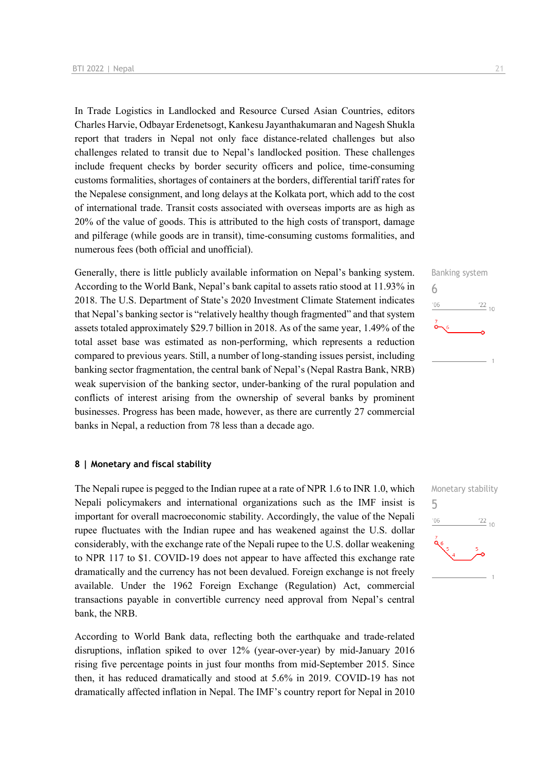In Trade Logistics in Landlocked and Resource Cursed Asian Countries, editors Charles Harvie, Odbayar Erdenetsogt, Kankesu Jayanthakumaran and Nagesh Shukla report that traders in Nepal not only face distance-related challenges but also challenges related to transit due to Nepal's landlocked position. These challenges include frequent checks by border security officers and police, time-consuming customs formalities, shortages of containers at the borders, differential tariff rates for the Nepalese consignment, and long delays at the Kolkata port, which add to the cost of international trade. Transit costs associated with overseas imports are as high as 20% of the value of goods. This is attributed to the high costs of transport, damage and pilferage (while goods are in transit), time-consuming customs formalities, and numerous fees (both official and unofficial).

Generally, there is little publicly available information on Nepal's banking system. According to the World Bank, Nepal's bank capital to assets ratio stood at 11.93% in 2018. The U.S. Department of State's 2020 Investment Climate Statement indicates that Nepal's banking sector is "relatively healthy though fragmented" and that system assets totaled approximately \$29.7 billion in 2018. As of the same year, 1.49% of the total asset base was estimated as non-performing, which represents a reduction compared to previous years. Still, a number of long-standing issues persist, including banking sector fragmentation, the central bank of Nepal's (Nepal Rastra Bank, NRB) weak supervision of the banking sector, under-banking of the rural population and conflicts of interest arising from the ownership of several banks by prominent businesses. Progress has been made, however, as there are currently 27 commercial banks in Nepal, a reduction from 78 less than a decade ago.

#### **8 | Monetary and fiscal stability**

The Nepali rupee is pegged to the Indian rupee at a rate of NPR 1.6 to INR 1.0, which Nepali policymakers and international organizations such as the IMF insist is important for overall macroeconomic stability. Accordingly, the value of the Nepali rupee fluctuates with the Indian rupee and has weakened against the U.S. dollar considerably, with the exchange rate of the Nepali rupee to the U.S. dollar weakening to NPR 117 to \$1. COVID-19 does not appear to have affected this exchange rate dramatically and the currency has not been devalued. Foreign exchange is not freely available. Under the 1962 Foreign Exchange (Regulation) Act, commercial transactions payable in convertible currency need approval from Nepal's central bank, the NRB.

According to World Bank data, reflecting both the earthquake and trade-related disruptions, inflation spiked to over 12% (year-over-year) by mid-January 2016 rising five percentage points in just four months from mid-September 2015. Since then, it has reduced dramatically and stood at 5.6% in 2019. COVID-19 has not dramatically affected inflation in Nepal. The IMF's country report for Nepal in 2010



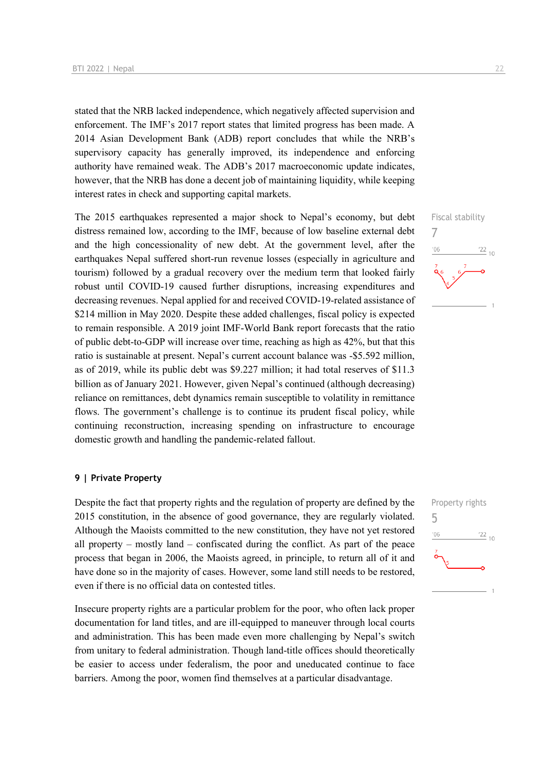stated that the NRB lacked independence, which negatively affected supervision and enforcement. The IMF's 2017 report states that limited progress has been made. A 2014 Asian Development Bank (ADB) report concludes that while the NRB's supervisory capacity has generally improved, its independence and enforcing authority have remained weak. The ADB's 2017 macroeconomic update indicates, however, that the NRB has done a decent job of maintaining liquidity, while keeping interest rates in check and supporting capital markets.

The 2015 earthquakes represented a major shock to Nepal's economy, but debt distress remained low, according to the IMF, because of low baseline external debt and the high concessionality of new debt. At the government level, after the earthquakes Nepal suffered short-run revenue losses (especially in agriculture and tourism) followed by a gradual recovery over the medium term that looked fairly robust until COVID-19 caused further disruptions, increasing expenditures and decreasing revenues. Nepal applied for and received COVID-19-related assistance of \$214 million in May 2020. Despite these added challenges, fiscal policy is expected to remain responsible. A 2019 joint IMF-World Bank report forecasts that the ratio of public debt-to-GDP will increase over time, reaching as high as 42%, but that this ratio is sustainable at present. Nepal's current account balance was -\$5.592 million, as of 2019, while its public debt was \$9.227 million; it had total reserves of \$11.3 billion as of January 2021. However, given Nepal's continued (although decreasing) reliance on remittances, debt dynamics remain susceptible to volatility in remittance flows. The government's challenge is to continue its prudent fiscal policy, while continuing reconstruction, increasing spending on infrastructure to encourage domestic growth and handling the pandemic-related fallout.

#### **9 | Private Property**

Despite the fact that property rights and the regulation of property are defined by the 2015 constitution, in the absence of good governance, they are regularly violated. Although the Maoists committed to the new constitution, they have not yet restored all property – mostly land – confiscated during the conflict. As part of the peace process that began in 2006, the Maoists agreed, in principle, to return all of it and have done so in the majority of cases. However, some land still needs to be restored, even if there is no official data on contested titles.

Insecure property rights are a particular problem for the poor, who often lack proper documentation for land titles, and are ill-equipped to maneuver through local courts and administration. This has been made even more challenging by Nepal's switch from unitary to federal administration. Though land-title offices should theoretically be easier to access under federalism, the poor and uneducated continue to face barriers. Among the poor, women find themselves at a particular disadvantage.



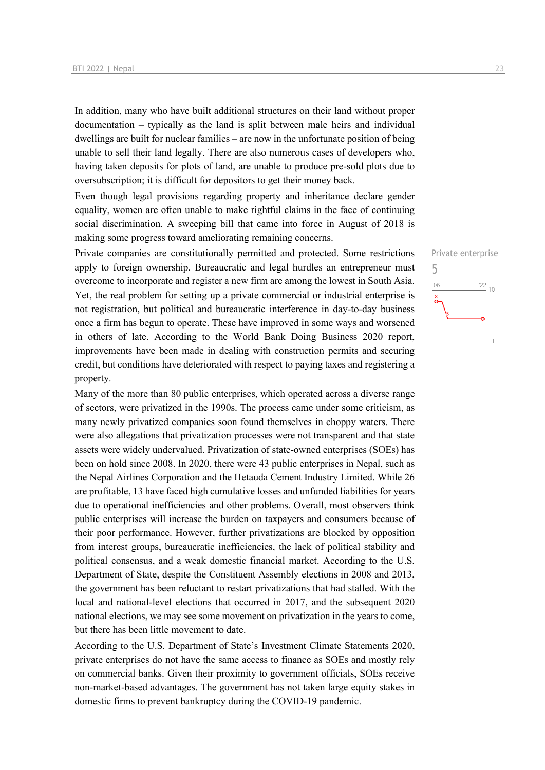In addition, many who have built additional structures on their land without proper documentation – typically as the land is split between male heirs and individual dwellings are built for nuclear families – are now in the unfortunate position of being unable to sell their land legally. There are also numerous cases of developers who, having taken deposits for plots of land, are unable to produce pre-sold plots due to oversubscription; it is difficult for depositors to get their money back.

Even though legal provisions regarding property and inheritance declare gender equality, women are often unable to make rightful claims in the face of continuing social discrimination. A sweeping bill that came into force in August of 2018 is making some progress toward ameliorating remaining concerns.

Private companies are constitutionally permitted and protected. Some restrictions apply to foreign ownership. Bureaucratic and legal hurdles an entrepreneur must overcome to incorporate and register a new firm are among the lowest in South Asia. Yet, the real problem for setting up a private commercial or industrial enterprise is not registration, but political and bureaucratic interference in day-to-day business once a firm has begun to operate. These have improved in some ways and worsened in others of late. According to the World Bank Doing Business 2020 report, improvements have been made in dealing with construction permits and securing credit, but conditions have deteriorated with respect to paying taxes and registering a property.

Many of the more than 80 public enterprises, which operated across a diverse range of sectors, were privatized in the 1990s. The process came under some criticism, as many newly privatized companies soon found themselves in choppy waters. There were also allegations that privatization processes were not transparent and that state assets were widely undervalued. Privatization of state-owned enterprises (SOEs) has been on hold since 2008. In 2020, there were 43 public enterprises in Nepal, such as the Nepal Airlines Corporation and the Hetauda Cement Industry Limited. While 26 are profitable, 13 have faced high cumulative losses and unfunded liabilities for years due to operational inefficiencies and other problems. Overall, most observers think public enterprises will increase the burden on taxpayers and consumers because of their poor performance. However, further privatizations are blocked by opposition from interest groups, bureaucratic inefficiencies, the lack of political stability and political consensus, and a weak domestic financial market. According to the U.S. Department of State, despite the Constituent Assembly elections in 2008 and 2013, the government has been reluctant to restart privatizations that had stalled. With the local and national-level elections that occurred in 2017, and the subsequent 2020 national elections, we may see some movement on privatization in the years to come, but there has been little movement to date.

According to the U.S. Department of State's Investment Climate Statements 2020, private enterprises do not have the same access to finance as SOEs and mostly rely on commercial banks. Given their proximity to government officials, SOEs receive non-market-based advantages. The government has not taken large equity stakes in domestic firms to prevent bankruptcy during the COVID-19 pandemic.

Private enterprise 5 $\frac{22}{10}$  $^{\prime}06$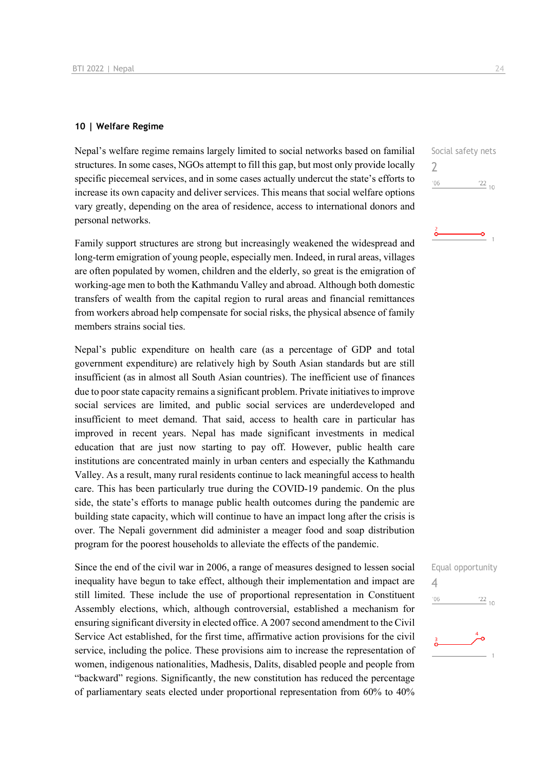#### **10 | Welfare Regime**

Nepal's welfare regime remains largely limited to social networks based on familial structures. In some cases, NGOs attempt to fill this gap, but most only provide locally specific piecemeal services, and in some cases actually undercut the state's efforts to increase its own capacity and deliver services. This means that social welfare options vary greatly, depending on the area of residence, access to international donors and personal networks.

Family support structures are strong but increasingly weakened the widespread and long-term emigration of young people, especially men. Indeed, in rural areas, villages are often populated by women, children and the elderly, so great is the emigration of working-age men to both the Kathmandu Valley and abroad. Although both domestic transfers of wealth from the capital region to rural areas and financial remittances from workers abroad help compensate for social risks, the physical absence of family members strains social ties.

Nepal's public expenditure on health care (as a percentage of GDP and total government expenditure) are relatively high by South Asian standards but are still insufficient (as in almost all South Asian countries). The inefficient use of finances due to poor state capacity remains a significant problem. Private initiatives to improve social services are limited, and public social services are underdeveloped and insufficient to meet demand. That said, access to health care in particular has improved in recent years. Nepal has made significant investments in medical education that are just now starting to pay off. However, public health care institutions are concentrated mainly in urban centers and especially the Kathmandu Valley. As a result, many rural residents continue to lack meaningful access to health care. This has been particularly true during the COVID-19 pandemic. On the plus side, the state's efforts to manage public health outcomes during the pandemic are building state capacity, which will continue to have an impact long after the crisis is over. The Nepali government did administer a meager food and soap distribution program for the poorest households to alleviate the effects of the pandemic.

Since the end of the civil war in 2006, a range of measures designed to lessen social inequality have begun to take effect, although their implementation and impact are still limited. These include the use of proportional representation in Constituent Assembly elections, which, although controversial, established a mechanism for ensuring significant diversity in elected office. A 2007 second amendment to the Civil Service Act established, for the first time, affirmative action provisions for the civil service, including the police. These provisions aim to increase the representation of women, indigenous nationalities, Madhesis, Dalits, disabled people and people from "backward" regions. Significantly, the new constitution has reduced the percentage of parliamentary seats elected under proportional representation from 60% to 40%

Social safety nets  $\overline{\phantom{0}}$  $'06$  $122_{10}$ 

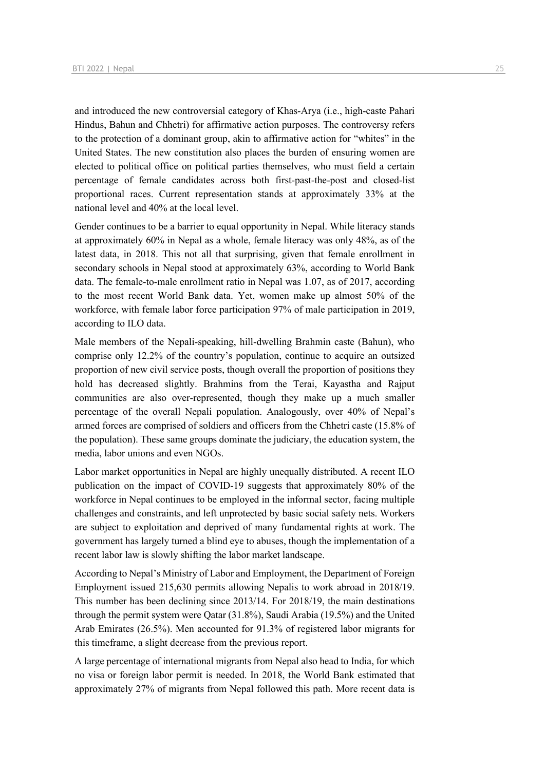and introduced the new controversial category of Khas-Arya (i.e., high-caste Pahari Hindus, Bahun and Chhetri) for affirmative action purposes. The controversy refers to the protection of a dominant group, akin to affirmative action for "whites" in the United States. The new constitution also places the burden of ensuring women are elected to political office on political parties themselves, who must field a certain percentage of female candidates across both first-past-the-post and closed-list proportional races. Current representation stands at approximately 33% at the national level and 40% at the local level.

Gender continues to be a barrier to equal opportunity in Nepal. While literacy stands at approximately 60% in Nepal as a whole, female literacy was only 48%, as of the latest data, in 2018. This not all that surprising, given that female enrollment in secondary schools in Nepal stood at approximately 63%, according to World Bank data. The female-to-male enrollment ratio in Nepal was 1.07, as of 2017, according to the most recent World Bank data. Yet, women make up almost 50% of the workforce, with female labor force participation 97% of male participation in 2019, according to ILO data.

Male members of the Nepali-speaking, hill-dwelling Brahmin caste (Bahun), who comprise only 12.2% of the country's population, continue to acquire an outsized proportion of new civil service posts, though overall the proportion of positions they hold has decreased slightly. Brahmins from the Terai, Kayastha and Rajput communities are also over-represented, though they make up a much smaller percentage of the overall Nepali population. Analogously, over 40% of Nepal's armed forces are comprised of soldiers and officers from the Chhetri caste (15.8% of the population). These same groups dominate the judiciary, the education system, the media, labor unions and even NGOs.

Labor market opportunities in Nepal are highly unequally distributed. A recent ILO publication on the impact of COVID-19 suggests that approximately 80% of the workforce in Nepal continues to be employed in the informal sector, facing multiple challenges and constraints, and left unprotected by basic social safety nets. Workers are subject to exploitation and deprived of many fundamental rights at work. The government has largely turned a blind eye to abuses, though the implementation of a recent labor law is slowly shifting the labor market landscape.

According to Nepal's Ministry of Labor and Employment, the Department of Foreign Employment issued 215,630 permits allowing Nepalis to work abroad in 2018/19. This number has been declining since 2013/14. For 2018/19, the main destinations through the permit system were Qatar (31.8%), Saudi Arabia (19.5%) and the United Arab Emirates (26.5%). Men accounted for 91.3% of registered labor migrants for this timeframe, a slight decrease from the previous report.

A large percentage of international migrants from Nepal also head to India, for which no visa or foreign labor permit is needed. In 2018, the World Bank estimated that approximately 27% of migrants from Nepal followed this path. More recent data is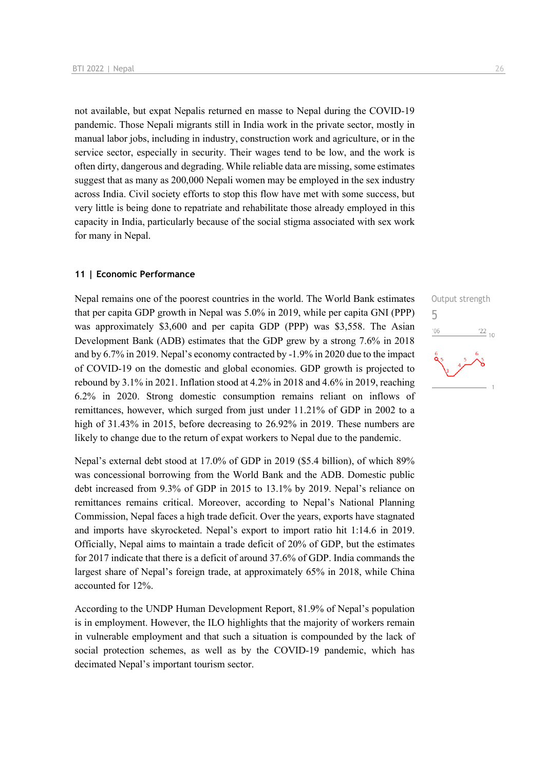not available, but expat Nepalis returned en masse to Nepal during the COVID-19 pandemic. Those Nepali migrants still in India work in the private sector, mostly in manual labor jobs, including in industry, construction work and agriculture, or in the service sector, especially in security. Their wages tend to be low, and the work is often dirty, dangerous and degrading. While reliable data are missing, some estimates suggest that as many as 200,000 Nepali women may be employed in the sex industry across India. Civil society efforts to stop this flow have met with some success, but very little is being done to repatriate and rehabilitate those already employed in this capacity in India, particularly because of the social stigma associated with sex work for many in Nepal.

#### **11 | Economic Performance**

Nepal remains one of the poorest countries in the world. The World Bank estimates that per capita GDP growth in Nepal was 5.0% in 2019, while per capita GNI (PPP) was approximately \$3,600 and per capita GDP (PPP) was \$3,558. The Asian Development Bank (ADB) estimates that the GDP grew by a strong 7.6% in 2018 and by 6.7% in 2019. Nepal's economy contracted by -1.9% in 2020 due to the impact of COVID-19 on the domestic and global economies. GDP growth is projected to rebound by 3.1% in 2021. Inflation stood at 4.2% in 2018 and 4.6% in 2019, reaching 6.2% in 2020. Strong domestic consumption remains reliant on inflows of remittances, however, which surged from just under 11.21% of GDP in 2002 to a high of 31.43% in 2015, before decreasing to 26.92% in 2019. These numbers are likely to change due to the return of expat workers to Nepal due to the pandemic.

Nepal's external debt stood at 17.0% of GDP in 2019 (\$5.4 billion), of which 89% was concessional borrowing from the World Bank and the ADB. Domestic public debt increased from 9.3% of GDP in 2015 to 13.1% by 2019. Nepal's reliance on remittances remains critical. Moreover, according to Nepal's National Planning Commission, Nepal faces a high trade deficit. Over the years, exports have stagnated and imports have skyrocketed. Nepal's export to import ratio hit 1:14.6 in 2019. Officially, Nepal aims to maintain a trade deficit of 20% of GDP, but the estimates for 2017 indicate that there is a deficit of around 37.6% of GDP. India commands the largest share of Nepal's foreign trade, at approximately 65% in 2018, while China accounted for 12%.

According to the UNDP Human Development Report, 81.9% of Nepal's population is in employment. However, the ILO highlights that the majority of workers remain in vulnerable employment and that such a situation is compounded by the lack of social protection schemes, as well as by the COVID-19 pandemic, which has decimated Nepal's important tourism sector.

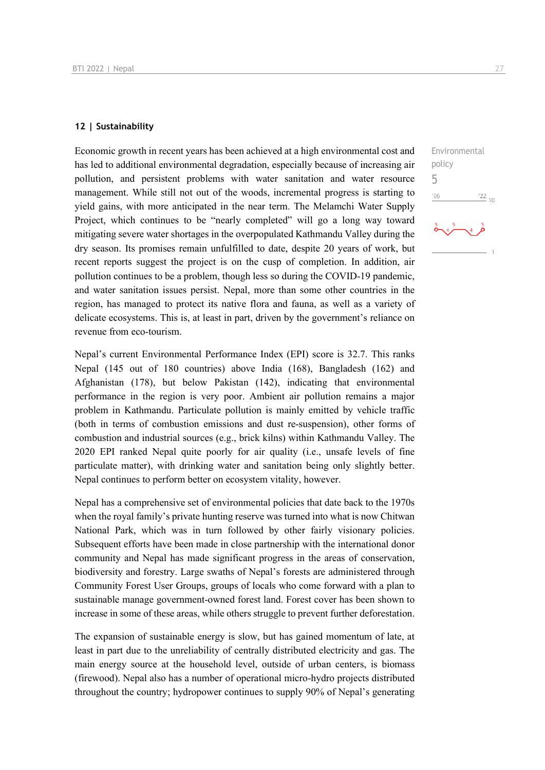#### **12 | Sustainability**

Economic growth in recent years has been achieved at a high environmental cost and has led to additional environmental degradation, especially because of increasing air pollution, and persistent problems with water sanitation and water resource management. While still not out of the woods, incremental progress is starting to yield gains, with more anticipated in the near term. The Melamchi Water Supply Project, which continues to be "nearly completed" will go a long way toward mitigating severe water shortages in the overpopulated Kathmandu Valley during the dry season. Its promises remain unfulfilled to date, despite 20 years of work, but recent reports suggest the project is on the cusp of completion. In addition, air pollution continues to be a problem, though less so during the COVID-19 pandemic, and water sanitation issues persist. Nepal, more than some other countries in the region, has managed to protect its native flora and fauna, as well as a variety of delicate ecosystems. This is, at least in part, driven by the government's reliance on revenue from eco-tourism.

Nepal's current Environmental Performance Index (EPI) score is 32.7. This ranks Nepal (145 out of 180 countries) above India (168), Bangladesh (162) and Afghanistan (178), but below Pakistan (142), indicating that environmental performance in the region is very poor. Ambient air pollution remains a major problem in Kathmandu. Particulate pollution is mainly emitted by vehicle traffic (both in terms of combustion emissions and dust re-suspension), other forms of combustion and industrial sources (e.g., brick kilns) within Kathmandu Valley. The 2020 EPI ranked Nepal quite poorly for air quality (i.e., unsafe levels of fine particulate matter), with drinking water and sanitation being only slightly better. Nepal continues to perform better on ecosystem vitality, however.

Nepal has a comprehensive set of environmental policies that date back to the 1970s when the royal family's private hunting reserve was turned into what is now Chitwan National Park, which was in turn followed by other fairly visionary policies. Subsequent efforts have been made in close partnership with the international donor community and Nepal has made significant progress in the areas of conservation, biodiversity and forestry. Large swaths of Nepal's forests are administered through Community Forest User Groups, groups of locals who come forward with a plan to sustainable manage government-owned forest land. Forest cover has been shown to increase in some of these areas, while others struggle to prevent further deforestation.

The expansion of sustainable energy is slow, but has gained momentum of late, at least in part due to the unreliability of centrally distributed electricity and gas. The main energy source at the household level, outside of urban centers, is biomass (firewood). Nepal also has a number of operational micro-hydro projects distributed throughout the country; hydropower continues to supply 90% of Nepal's generating

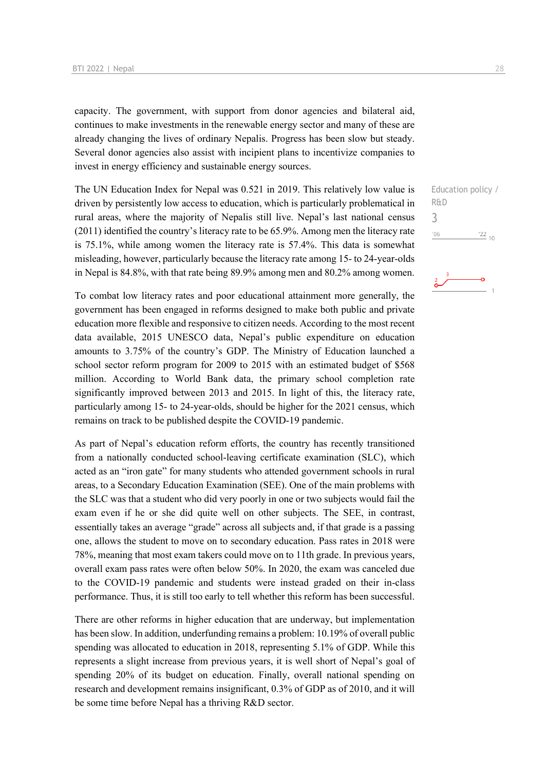capacity. The government, with support from donor agencies and bilateral aid, continues to make investments in the renewable energy sector and many of these are already changing the lives of ordinary Nepalis. Progress has been slow but steady. Several donor agencies also assist with incipient plans to incentivize companies to invest in energy efficiency and sustainable energy sources.

The UN Education Index for Nepal was 0.521 in 2019. This relatively low value is driven by persistently low access to education, which is particularly problematical in rural areas, where the majority of Nepalis still live. Nepal's last national census (2011) identified the country's literacy rate to be 65.9%. Among men the literacy rate is 75.1%, while among women the literacy rate is 57.4%. This data is somewhat misleading, however, particularly because the literacy rate among 15- to 24-year-olds in Nepal is 84.8%, with that rate being 89.9% among men and 80.2% among women.

To combat low literacy rates and poor educational attainment more generally, the government has been engaged in reforms designed to make both public and private education more flexible and responsive to citizen needs. According to the most recent data available, 2015 UNESCO data, Nepal's public expenditure on education amounts to 3.75% of the country's GDP. The Ministry of Education launched a school sector reform program for 2009 to 2015 with an estimated budget of \$568 million. According to World Bank data, the primary school completion rate significantly improved between 2013 and 2015. In light of this, the literacy rate, particularly among 15- to 24-year-olds, should be higher for the 2021 census, which remains on track to be published despite the COVID-19 pandemic.

As part of Nepal's education reform efforts, the country has recently transitioned from a nationally conducted school-leaving certificate examination (SLC), which acted as an "iron gate" for many students who attended government schools in rural areas, to a Secondary Education Examination (SEE). One of the main problems with the SLC was that a student who did very poorly in one or two subjects would fail the exam even if he or she did quite well on other subjects. The SEE, in contrast, essentially takes an average "grade" across all subjects and, if that grade is a passing one, allows the student to move on to secondary education. Pass rates in 2018 were 78%, meaning that most exam takers could move on to 11th grade. In previous years, overall exam pass rates were often below 50%. In 2020, the exam was canceled due to the COVID-19 pandemic and students were instead graded on their in-class performance. Thus, it is still too early to tell whether this reform has been successful.

There are other reforms in higher education that are underway, but implementation has been slow. In addition, underfunding remains a problem: 10.19% of overall public spending was allocated to education in 2018, representing 5.1% of GDP. While this represents a slight increase from previous years, it is well short of Nepal's goal of spending 20% of its budget on education. Finally, overall national spending on research and development remains insignificant, 0.3% of GDP as of 2010, and it will be some time before Nepal has a thriving R&D sector.

Education policy /

 $\frac{22}{10}$ 

R&D 3

 $^{\prime}06$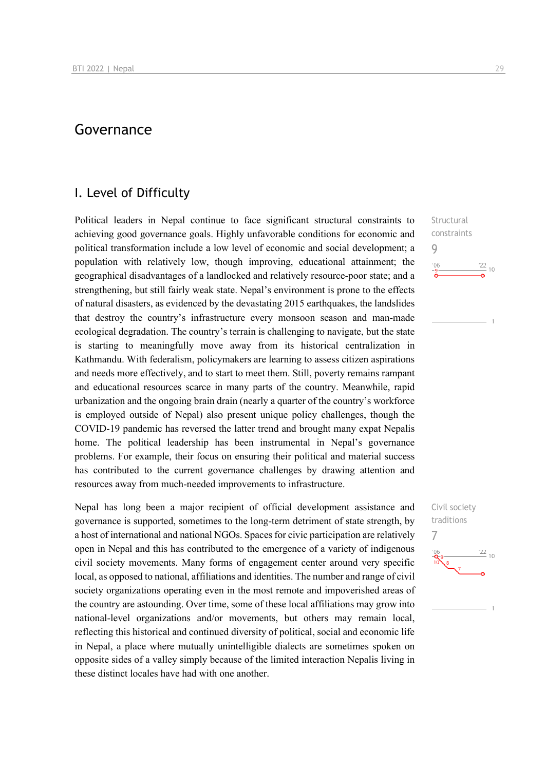## Governance

## I. Level of Difficulty

Political leaders in Nepal continue to face significant structural constraints to achieving good governance goals. Highly unfavorable conditions for economic and political transformation include a low level of economic and social development; a population with relatively low, though improving, educational attainment; the geographical disadvantages of a landlocked and relatively resource-poor state; and a strengthening, but still fairly weak state. Nepal's environment is prone to the effects of natural disasters, as evidenced by the devastating 2015 earthquakes, the landslides that destroy the country's infrastructure every monsoon season and man-made ecological degradation. The country's terrain is challenging to navigate, but the state is starting to meaningfully move away from its historical centralization in Kathmandu. With federalism, policymakers are learning to assess citizen aspirations and needs more effectively, and to start to meet them. Still, poverty remains rampant and educational resources scarce in many parts of the country. Meanwhile, rapid urbanization and the ongoing brain drain (nearly a quarter of the country's workforce is employed outside of Nepal) also present unique policy challenges, though the COVID-19 pandemic has reversed the latter trend and brought many expat Nepalis home. The political leadership has been instrumental in Nepal's governance problems. For example, their focus on ensuring their political and material success has contributed to the current governance challenges by drawing attention and resources away from much-needed improvements to infrastructure.

Nepal has long been a major recipient of official development assistance and governance is supported, sometimes to the long-term detriment of state strength, by a host of international and national NGOs. Spaces for civic participation are relatively open in Nepal and this has contributed to the emergence of a variety of indigenous civil society movements. Many forms of engagement center around very specific local, as opposed to national, affiliations and identities. The number and range of civil society organizations operating even in the most remote and impoverished areas of the country are astounding. Over time, some of these local affiliations may grow into national-level organizations and/or movements, but others may remain local, reflecting this historical and continued diversity of political, social and economic life in Nepal, a place where mutually unintelligible dialects are sometimes spoken on opposite sides of a valley simply because of the limited interaction Nepalis living in these distinct locales have had with one another.

**Structural** constraints 9  $\frac{22}{10}$  10  $^{\prime}06$ 

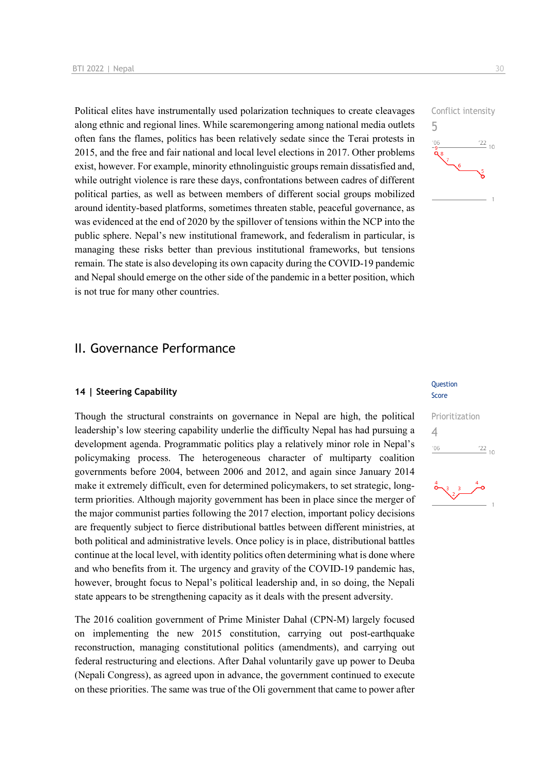Political elites have instrumentally used polarization techniques to create cleavages along ethnic and regional lines. While scaremongering among national media outlets often fans the flames, politics has been relatively sedate since the Terai protests in 2015, and the free and fair national and local level elections in 2017. Other problems exist, however. For example, minority ethnolinguistic groups remain dissatisfied and, while outright violence is rare these days, confrontations between cadres of different political parties, as well as between members of different social groups mobilized around identity-based platforms, sometimes threaten stable, peaceful governance, as was evidenced at the end of 2020 by the spillover of tensions within the NCP into the public sphere. Nepal's new institutional framework, and federalism in particular, is managing these risks better than previous institutional frameworks, but tensions remain. The state is also developing its own capacity during the COVID-19 pandemic and Nepal should emerge on the other side of the pandemic in a better position, which is not true for many other countries.

## II. Governance Performance

#### **14 | Steering Capability**

Though the structural constraints on governance in Nepal are high, the political leadership's low steering capability underlie the difficulty Nepal has had pursuing a development agenda. Programmatic politics play a relatively minor role in Nepal's policymaking process. The heterogeneous character of multiparty coalition governments before 2004, between 2006 and 2012, and again since January 2014 make it extremely difficult, even for determined policymakers, to set strategic, longterm priorities. Although majority government has been in place since the merger of the major communist parties following the 2017 election, important policy decisions are frequently subject to fierce distributional battles between different ministries, at both political and administrative levels. Once policy is in place, distributional battles continue at the local level, with identity politics often determining what is done where and who benefits from it. The urgency and gravity of the COVID-19 pandemic has, however, brought focus to Nepal's political leadership and, in so doing, the Nepali state appears to be strengthening capacity as it deals with the present adversity.

The 2016 coalition government of Prime Minister Dahal (CPN-M) largely focused on implementing the new 2015 constitution, carrying out post-earthquake reconstruction, managing constitutional politics (amendments), and carrying out federal restructuring and elections. After Dahal voluntarily gave up power to Deuba (Nepali Congress), as agreed upon in advance, the government continued to execute on these priorities. The same was true of the Oli government that came to power after



Conflict intensity

#### Question Score

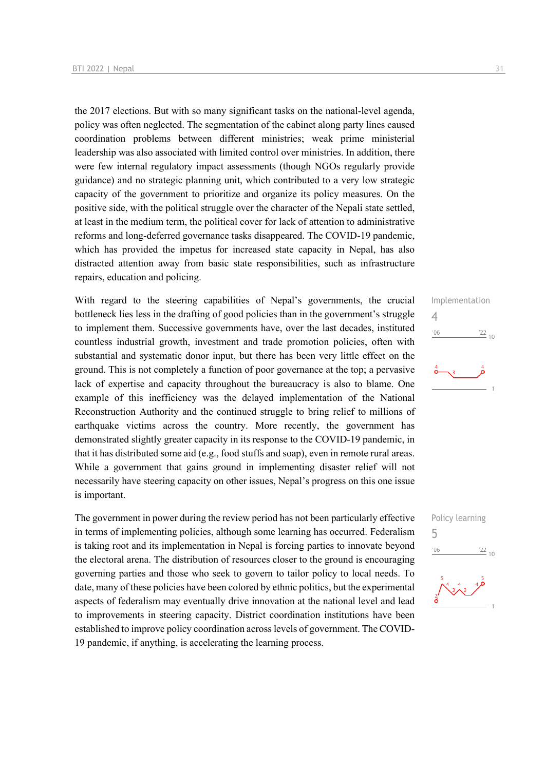the 2017 elections. But with so many significant tasks on the national-level agenda, policy was often neglected. The segmentation of the cabinet along party lines caused coordination problems between different ministries; weak prime ministerial leadership was also associated with limited control over ministries. In addition, there were few internal regulatory impact assessments (though NGOs regularly provide guidance) and no strategic planning unit, which contributed to a very low strategic capacity of the government to prioritize and organize its policy measures. On the positive side, with the political struggle over the character of the Nepali state settled, at least in the medium term, the political cover for lack of attention to administrative reforms and long-deferred governance tasks disappeared. The COVID-19 pandemic, which has provided the impetus for increased state capacity in Nepal, has also distracted attention away from basic state responsibilities, such as infrastructure repairs, education and policing.

With regard to the steering capabilities of Nepal's governments, the crucial bottleneck lies less in the drafting of good policies than in the government's struggle to implement them. Successive governments have, over the last decades, instituted countless industrial growth, investment and trade promotion policies, often with substantial and systematic donor input, but there has been very little effect on the ground. This is not completely a function of poor governance at the top; a pervasive lack of expertise and capacity throughout the bureaucracy is also to blame. One example of this inefficiency was the delayed implementation of the National Reconstruction Authority and the continued struggle to bring relief to millions of earthquake victims across the country. More recently, the government has demonstrated slightly greater capacity in its response to the COVID-19 pandemic, in that it has distributed some aid (e.g., food stuffs and soap), even in remote rural areas. While a government that gains ground in implementing disaster relief will not necessarily have steering capacity on other issues, Nepal's progress on this one issue is important.

The government in power during the review period has not been particularly effective in terms of implementing policies, although some learning has occurred. Federalism is taking root and its implementation in Nepal is forcing parties to innovate beyond the electoral arena. The distribution of resources closer to the ground is encouraging governing parties and those who seek to govern to tailor policy to local needs. To date, many of these policies have been colored by ethnic politics, but the experimental aspects of federalism may eventually drive innovation at the national level and lead to improvements in steering capacity. District coordination institutions have been established to improve policy coordination across levels of government. The COVID-19 pandemic, if anything, is accelerating the learning process.





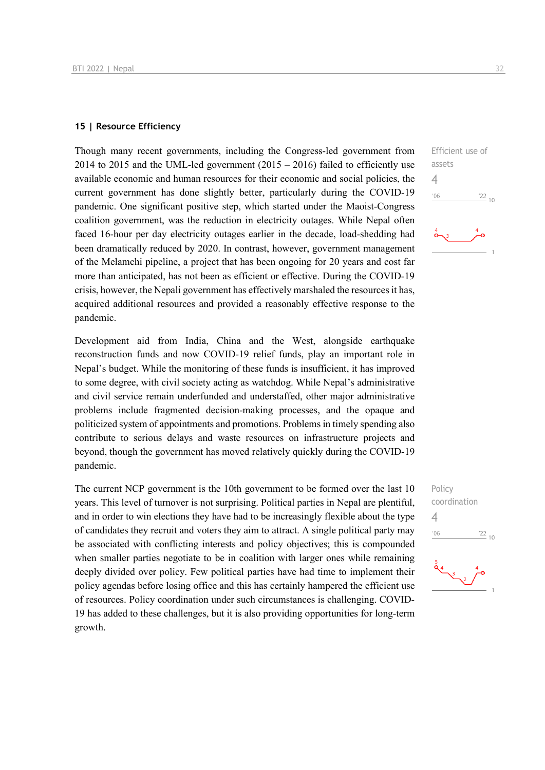#### **15 | Resource Efficiency**

Though many recent governments, including the Congress-led government from 2014 to 2015 and the UML-led government  $(2015 - 2016)$  failed to efficiently use available economic and human resources for their economic and social policies, the current government has done slightly better, particularly during the COVID-19 pandemic. One significant positive step, which started under the Maoist-Congress coalition government, was the reduction in electricity outages. While Nepal often faced 16-hour per day electricity outages earlier in the decade, load-shedding had been dramatically reduced by 2020. In contrast, however, government management of the Melamchi pipeline, a project that has been ongoing for 20 years and cost far more than anticipated, has not been as efficient or effective. During the COVID-19 crisis, however, the Nepali government has effectively marshaled the resources it has, acquired additional resources and provided a reasonably effective response to the pandemic.

Development aid from India, China and the West, alongside earthquake reconstruction funds and now COVID-19 relief funds, play an important role in Nepal's budget. While the monitoring of these funds is insufficient, it has improved to some degree, with civil society acting as watchdog. While Nepal's administrative and civil service remain underfunded and understaffed, other major administrative problems include fragmented decision-making processes, and the opaque and politicized system of appointments and promotions. Problems in timely spending also contribute to serious delays and waste resources on infrastructure projects and beyond, though the government has moved relatively quickly during the COVID-19 pandemic.

The current NCP government is the 10th government to be formed over the last 10 years. This level of turnover is not surprising. Political parties in Nepal are plentiful, and in order to win elections they have had to be increasingly flexible about the type of candidates they recruit and voters they aim to attract. A single political party may be associated with conflicting interests and policy objectives; this is compounded when smaller parties negotiate to be in coalition with larger ones while remaining deeply divided over policy. Few political parties have had time to implement their policy agendas before losing office and this has certainly hampered the efficient use of resources. Policy coordination under such circumstances is challenging. COVID-19 has added to these challenges, but it is also providing opportunities for long-term growth.





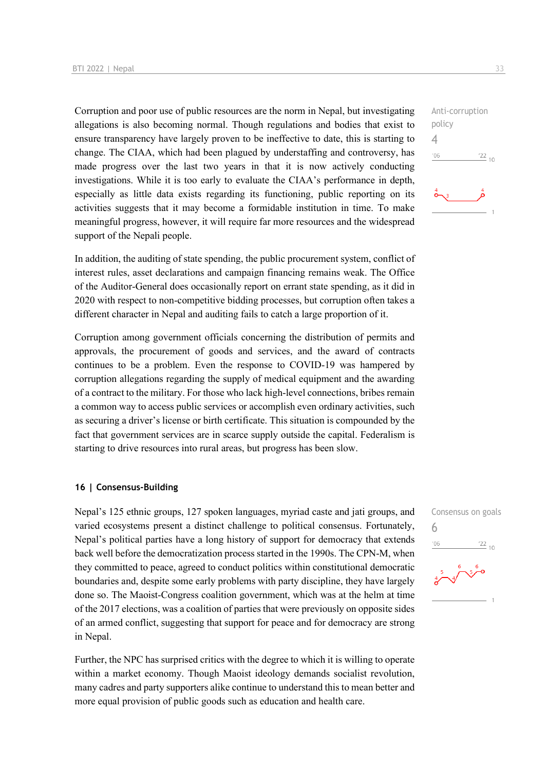Corruption and poor use of public resources are the norm in Nepal, but investigating allegations is also becoming normal. Though regulations and bodies that exist to ensure transparency have largely proven to be ineffective to date, this is starting to change. The CIAA, which had been plagued by understaffing and controversy, has made progress over the last two years in that it is now actively conducting investigations. While it is too early to evaluate the CIAA's performance in depth, especially as little data exists regarding its functioning, public reporting on its activities suggests that it may become a formidable institution in time. To make meaningful progress, however, it will require far more resources and the widespread support of the Nepali people.

In addition, the auditing of state spending, the public procurement system, conflict of interest rules, asset declarations and campaign financing remains weak. The Office of the Auditor-General does occasionally report on errant state spending, as it did in 2020 with respect to non-competitive bidding processes, but corruption often takes a different character in Nepal and auditing fails to catch a large proportion of it.

Corruption among government officials concerning the distribution of permits and approvals, the procurement of goods and services, and the award of contracts continues to be a problem. Even the response to COVID-19 was hampered by corruption allegations regarding the supply of medical equipment and the awarding of a contract to the military. For those who lack high-level connections, bribes remain a common way to access public services or accomplish even ordinary activities, such as securing a driver's license or birth certificate. This situation is compounded by the fact that government services are in scarce supply outside the capital. Federalism is starting to drive resources into rural areas, but progress has been slow.

#### **16 | Consensus-Building**

Nepal's 125 ethnic groups, 127 spoken languages, myriad caste and jati groups, and varied ecosystems present a distinct challenge to political consensus. Fortunately, Nepal's political parties have a long history of support for democracy that extends back well before the democratization process started in the 1990s. The CPN-M, when they committed to peace, agreed to conduct politics within constitutional democratic boundaries and, despite some early problems with party discipline, they have largely done so. The Maoist-Congress coalition government, which was at the helm at time of the 2017 elections, was a coalition of parties that were previously on opposite sides of an armed conflict, suggesting that support for peace and for democracy are strong in Nepal.

Further, the NPC has surprised critics with the degree to which it is willing to operate within a market economy. Though Maoist ideology demands socialist revolution, many cadres and party supporters alike continue to understand this to mean better and more equal provision of public goods such as education and health care.

Anti-corruption policy  $\Delta$  $^{\prime}06$  $\frac{22}{10}$ 

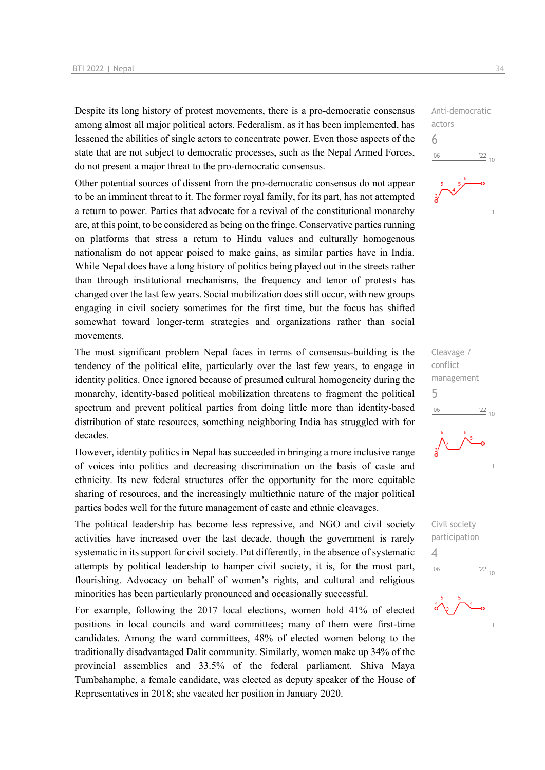Despite its long history of protest movements, there is a pro-democratic consensus among almost all major political actors. Federalism, as it has been implemented, has lessened the abilities of single actors to concentrate power. Even those aspects of the state that are not subject to democratic processes, such as the Nepal Armed Forces, do not present a major threat to the pro-democratic consensus.

Other potential sources of dissent from the pro-democratic consensus do not appear to be an imminent threat to it. The former royal family, for its part, has not attempted a return to power. Parties that advocate for a revival of the constitutional monarchy are, at this point, to be considered as being on the fringe. Conservative parties running on platforms that stress a return to Hindu values and culturally homogenous nationalism do not appear poised to make gains, as similar parties have in India. While Nepal does have a long history of politics being played out in the streets rather than through institutional mechanisms, the frequency and tenor of protests has changed over the last few years. Social mobilization does still occur, with new groups engaging in civil society sometimes for the first time, but the focus has shifted somewhat toward longer-term strategies and organizations rather than social movements.

The most significant problem Nepal faces in terms of consensus-building is the tendency of the political elite, particularly over the last few years, to engage in identity politics. Once ignored because of presumed cultural homogeneity during the monarchy, identity-based political mobilization threatens to fragment the political spectrum and prevent political parties from doing little more than identity-based distribution of state resources, something neighboring India has struggled with for decades.

However, identity politics in Nepal has succeeded in bringing a more inclusive range of voices into politics and decreasing discrimination on the basis of caste and ethnicity. Its new federal structures offer the opportunity for the more equitable sharing of resources, and the increasingly multiethnic nature of the major political parties bodes well for the future management of caste and ethnic cleavages.

The political leadership has become less repressive, and NGO and civil society activities have increased over the last decade, though the government is rarely systematic in its support for civil society. Put differently, in the absence of systematic attempts by political leadership to hamper civil society, it is, for the most part, flourishing. Advocacy on behalf of women's rights, and cultural and religious minorities has been particularly pronounced and occasionally successful.

For example, following the 2017 local elections, women hold 41% of elected positions in local councils and ward committees; many of them were first-time candidates. Among the ward committees, 48% of elected women belong to the traditionally disadvantaged Dalit community. Similarly, women make up 34% of the provincial assemblies and 33.5% of the federal parliament. Shiva Maya Tumbahamphe, a female candidate, was elected as deputy speaker of the House of Representatives in 2018; she vacated her position in January 2020.

Anti-democratic actors 6  $^{\prime}06$  $122_{10}$ 



Cleavage / conflict management 5  $106$  $\frac{22}{10}$ 

Civil society participation 4 $\frac{22}{10}$  $106$ 

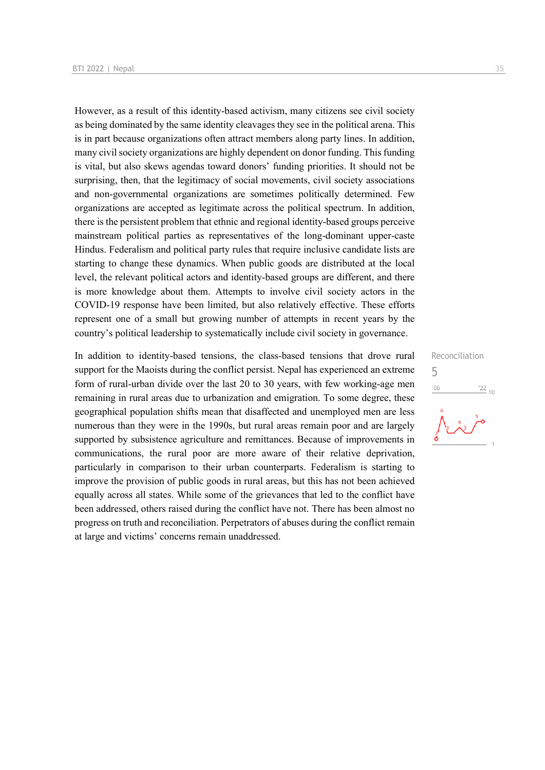However, as a result of this identity-based activism, many citizens see civil society as being dominated by the same identity cleavages they see in the political arena. This is in part because organizations often attract members along party lines. In addition, many civil society organizations are highly dependent on donor funding. This funding is vital, but also skews agendas toward donors' funding priorities. It should not be surprising, then, that the legitimacy of social movements, civil society associations and non-governmental organizations are sometimes politically determined. Few organizations are accepted as legitimate across the political spectrum. In addition, there is the persistent problem that ethnic and regional identity-based groups perceive mainstream political parties as representatives of the long-dominant upper-caste Hindus. Federalism and political party rules that require inclusive candidate lists are starting to change these dynamics. When public goods are distributed at the local level, the relevant political actors and identity-based groups are different, and there is more knowledge about them. Attempts to involve civil society actors in the COVID-19 response have been limited, but also relatively effective. These efforts represent one of a small but growing number of attempts in recent years by the country's political leadership to systematically include civil society in governance.

In addition to identity-based tensions, the class-based tensions that drove rural support for the Maoists during the conflict persist. Nepal has experienced an extreme form of rural-urban divide over the last 20 to 30 years, with few working-age men remaining in rural areas due to urbanization and emigration. To some degree, these geographical population shifts mean that disaffected and unemployed men are less numerous than they were in the 1990s, but rural areas remain poor and are largely supported by subsistence agriculture and remittances. Because of improvements in communications, the rural poor are more aware of their relative deprivation, particularly in comparison to their urban counterparts. Federalism is starting to improve the provision of public goods in rural areas, but this has not been achieved equally across all states. While some of the grievances that led to the conflict have been addressed, others raised during the conflict have not. There has been almost no progress on truth and reconciliation. Perpetrators of abuses during the conflict remain at large and victims' concerns remain unaddressed.

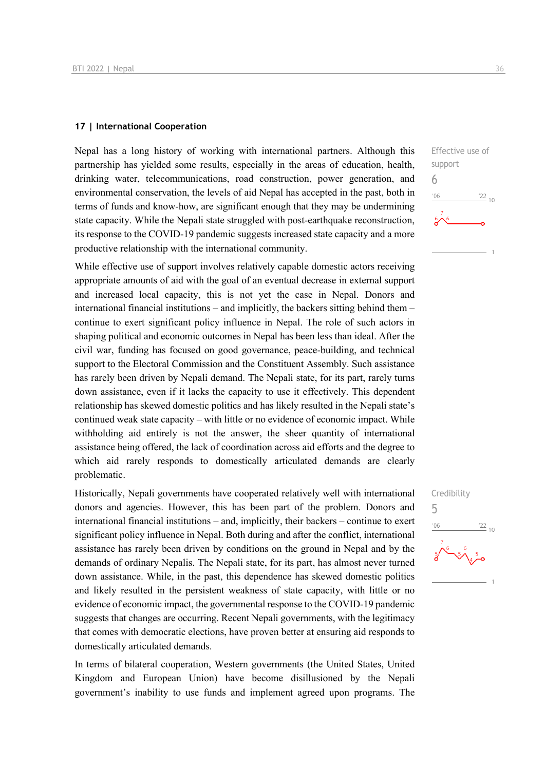#### **17 | International Cooperation**

Nepal has a long history of working with international partners. Although this partnership has yielded some results, especially in the areas of education, health, drinking water, telecommunications, road construction, power generation, and environmental conservation, the levels of aid Nepal has accepted in the past, both in terms of funds and know-how, are significant enough that they may be undermining state capacity. While the Nepali state struggled with post-earthquake reconstruction, its response to the COVID-19 pandemic suggests increased state capacity and a more productive relationship with the international community.

While effective use of support involves relatively capable domestic actors receiving appropriate amounts of aid with the goal of an eventual decrease in external support and increased local capacity, this is not yet the case in Nepal. Donors and international financial institutions – and implicitly, the backers sitting behind them – continue to exert significant policy influence in Nepal. The role of such actors in shaping political and economic outcomes in Nepal has been less than ideal. After the civil war, funding has focused on good governance, peace-building, and technical support to the Electoral Commission and the Constituent Assembly. Such assistance has rarely been driven by Nepali demand. The Nepali state, for its part, rarely turns down assistance, even if it lacks the capacity to use it effectively. This dependent relationship has skewed domestic politics and has likely resulted in the Nepali state's continued weak state capacity – with little or no evidence of economic impact. While withholding aid entirely is not the answer, the sheer quantity of international assistance being offered, the lack of coordination across aid efforts and the degree to which aid rarely responds to domestically articulated demands are clearly problematic.

Historically, Nepali governments have cooperated relatively well with international donors and agencies. However, this has been part of the problem. Donors and international financial institutions – and, implicitly, their backers – continue to exert significant policy influence in Nepal. Both during and after the conflict, international assistance has rarely been driven by conditions on the ground in Nepal and by the demands of ordinary Nepalis. The Nepali state, for its part, has almost never turned down assistance. While, in the past, this dependence has skewed domestic politics and likely resulted in the persistent weakness of state capacity, with little or no evidence of economic impact, the governmental response to the COVID-19 pandemic suggests that changes are occurring. Recent Nepali governments, with the legitimacy that comes with democratic elections, have proven better at ensuring aid responds to domestically articulated demands.

In terms of bilateral cooperation, Western governments (the United States, United Kingdom and European Union) have become disillusioned by the Nepali government's inability to use funds and implement agreed upon programs. The



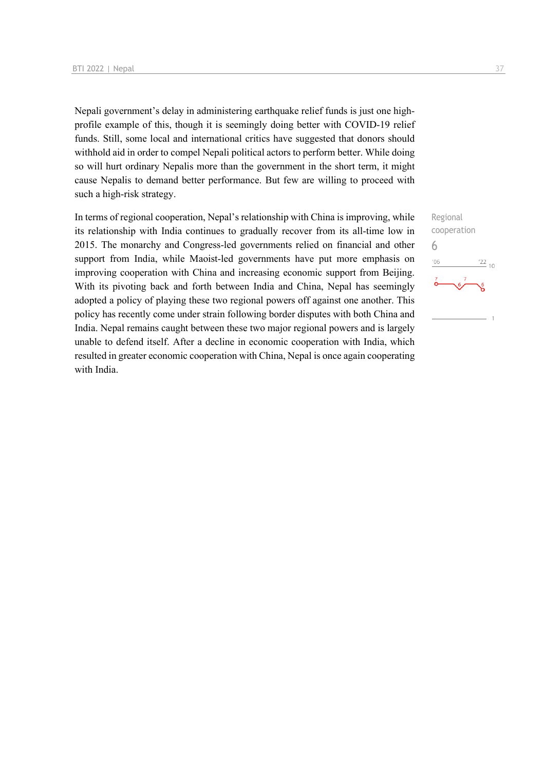Nepali government's delay in administering earthquake relief funds is just one highprofile example of this, though it is seemingly doing better with COVID-19 relief funds. Still, some local and international critics have suggested that donors should withhold aid in order to compel Nepali political actors to perform better. While doing so will hurt ordinary Nepalis more than the government in the short term, it might cause Nepalis to demand better performance. But few are willing to proceed with such a high-risk strategy.

In terms of regional cooperation, Nepal's relationship with China is improving, while its relationship with India continues to gradually recover from its all-time low in 2015. The monarchy and Congress-led governments relied on financial and other support from India, while Maoist-led governments have put more emphasis on improving cooperation with China and increasing economic support from Beijing. With its pivoting back and forth between India and China, Nepal has seemingly adopted a policy of playing these two regional powers off against one another. This policy has recently come under strain following border disputes with both China and India. Nepal remains caught between these two major regional powers and is largely unable to defend itself. After a decline in economic cooperation with India, which resulted in greater economic cooperation with China, Nepal is once again cooperating with India.

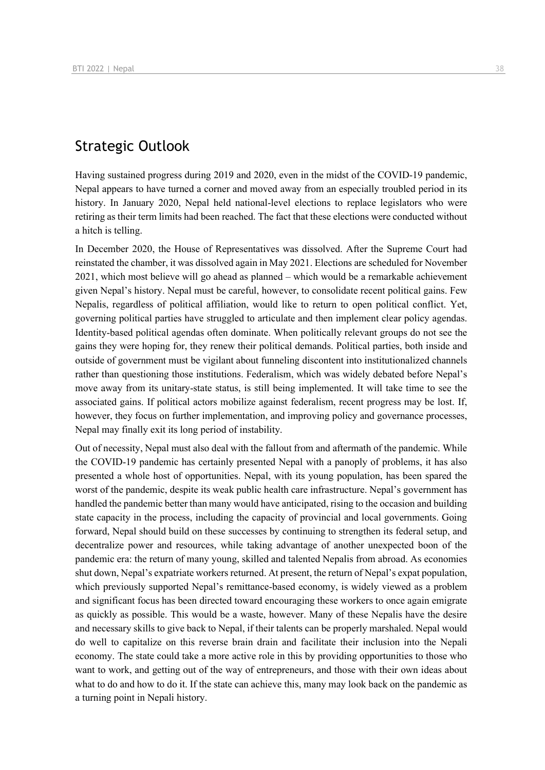## Strategic Outlook

Having sustained progress during 2019 and 2020, even in the midst of the COVID-19 pandemic, Nepal appears to have turned a corner and moved away from an especially troubled period in its history. In January 2020, Nepal held national-level elections to replace legislators who were retiring as their term limits had been reached. The fact that these elections were conducted without a hitch is telling.

In December 2020, the House of Representatives was dissolved. After the Supreme Court had reinstated the chamber, it was dissolved again in May 2021. Elections are scheduled for November 2021, which most believe will go ahead as planned – which would be a remarkable achievement given Nepal's history. Nepal must be careful, however, to consolidate recent political gains. Few Nepalis, regardless of political affiliation, would like to return to open political conflict. Yet, governing political parties have struggled to articulate and then implement clear policy agendas. Identity-based political agendas often dominate. When politically relevant groups do not see the gains they were hoping for, they renew their political demands. Political parties, both inside and outside of government must be vigilant about funneling discontent into institutionalized channels rather than questioning those institutions. Federalism, which was widely debated before Nepal's move away from its unitary-state status, is still being implemented. It will take time to see the associated gains. If political actors mobilize against federalism, recent progress may be lost. If, however, they focus on further implementation, and improving policy and governance processes, Nepal may finally exit its long period of instability.

Out of necessity, Nepal must also deal with the fallout from and aftermath of the pandemic. While the COVID-19 pandemic has certainly presented Nepal with a panoply of problems, it has also presented a whole host of opportunities. Nepal, with its young population, has been spared the worst of the pandemic, despite its weak public health care infrastructure. Nepal's government has handled the pandemic better than many would have anticipated, rising to the occasion and building state capacity in the process, including the capacity of provincial and local governments. Going forward, Nepal should build on these successes by continuing to strengthen its federal setup, and decentralize power and resources, while taking advantage of another unexpected boon of the pandemic era: the return of many young, skilled and talented Nepalis from abroad. As economies shut down, Nepal's expatriate workers returned. At present, the return of Nepal's expat population, which previously supported Nepal's remittance-based economy, is widely viewed as a problem and significant focus has been directed toward encouraging these workers to once again emigrate as quickly as possible. This would be a waste, however. Many of these Nepalis have the desire and necessary skills to give back to Nepal, if their talents can be properly marshaled. Nepal would do well to capitalize on this reverse brain drain and facilitate their inclusion into the Nepali economy. The state could take a more active role in this by providing opportunities to those who want to work, and getting out of the way of entrepreneurs, and those with their own ideas about what to do and how to do it. If the state can achieve this, many may look back on the pandemic as a turning point in Nepali history.